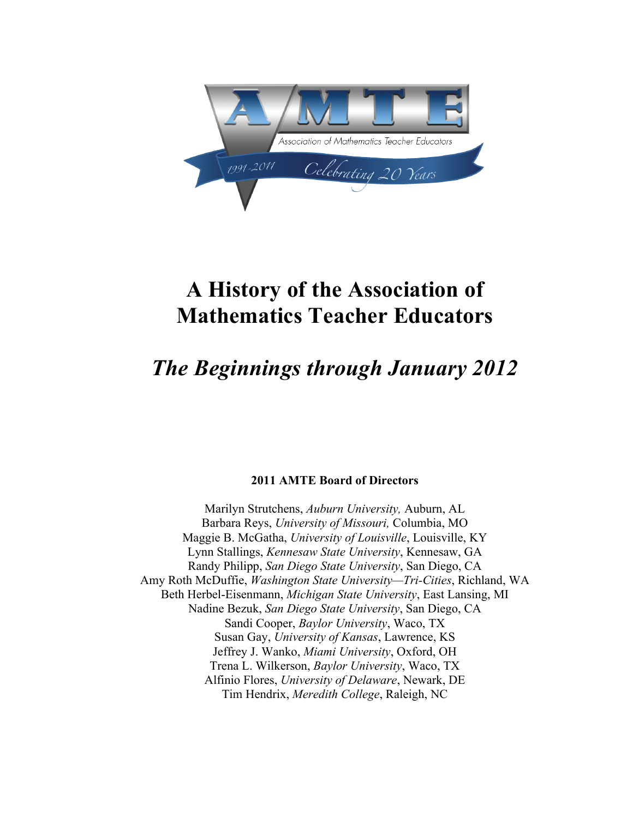

# **A History of the Association of Mathematics Teacher Educators**

# *The Beginnings through January 2012*

# **2011 AMTE Board of Directors**

Marilyn Strutchens, *Auburn University,* Auburn, AL Barbara Reys, *University of Missouri,* Columbia, MO Maggie B. McGatha, *University of Louisville*, Louisville, KY Lynn Stallings, *Kennesaw State University*, Kennesaw, GA Randy Philipp, *San Diego State University*, San Diego, CA Amy Roth McDuffie, *Washington State University—Tri-Cities*, Richland, WA Beth Herbel-Eisenmann, *Michigan State University*, East Lansing, MI Nadine Bezuk, *San Diego State University*, San Diego, CA Sandi Cooper, *Baylor University*, Waco, TX Susan Gay, *University of Kansas*, Lawrence, KS Jeffrey J. Wanko, *Miami University*, Oxford, OH Trena L. Wilkerson, *Baylor University*, Waco, TX Alfinio Flores, *University of Delaware*, Newark, DE Tim Hendrix, *Meredith College*, Raleigh, NC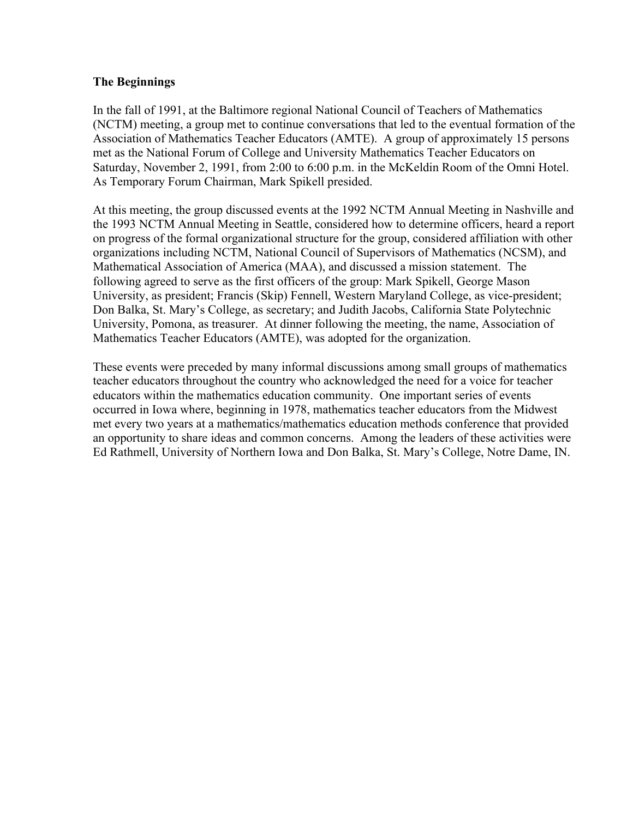# **The Beginnings**

In the fall of 1991, at the Baltimore regional National Council of Teachers of Mathematics (NCTM) meeting, a group met to continue conversations that led to the eventual formation of the Association of Mathematics Teacher Educators (AMTE). A group of approximately 15 persons met as the National Forum of College and University Mathematics Teacher Educators on Saturday, November 2, 1991, from 2:00 to 6:00 p.m. in the McKeldin Room of the Omni Hotel. As Temporary Forum Chairman, Mark Spikell presided.

At this meeting, the group discussed events at the 1992 NCTM Annual Meeting in Nashville and the 1993 NCTM Annual Meeting in Seattle, considered how to determine officers, heard a report on progress of the formal organizational structure for the group, considered affiliation with other organizations including NCTM, National Council of Supervisors of Mathematics (NCSM), and Mathematical Association of America (MAA), and discussed a mission statement. The following agreed to serve as the first officers of the group: Mark Spikell, George Mason University, as president; Francis (Skip) Fennell, Western Maryland College, as vice-president; Don Balka, St. Mary's College, as secretary; and Judith Jacobs, California State Polytechnic University, Pomona, as treasurer. At dinner following the meeting, the name, Association of Mathematics Teacher Educators (AMTE), was adopted for the organization.

These events were preceded by many informal discussions among small groups of mathematics teacher educators throughout the country who acknowledged the need for a voice for teacher educators within the mathematics education community. One important series of events occurred in Iowa where, beginning in 1978, mathematics teacher educators from the Midwest met every two years at a mathematics/mathematics education methods conference that provided an opportunity to share ideas and common concerns. Among the leaders of these activities were Ed Rathmell, University of Northern Iowa and Don Balka, St. Mary's College, Notre Dame, IN.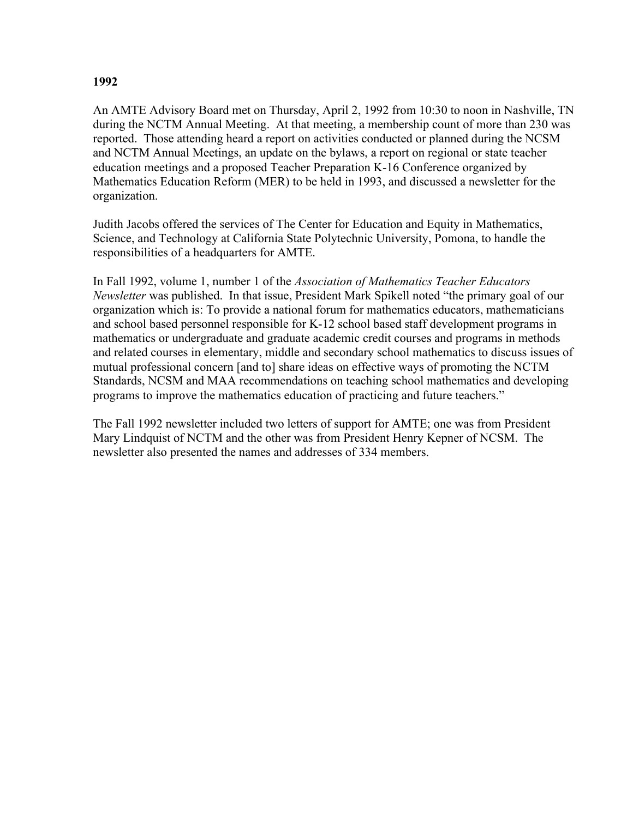# **1992**

An AMTE Advisory Board met on Thursday, April 2, 1992 from 10:30 to noon in Nashville, TN during the NCTM Annual Meeting. At that meeting, a membership count of more than 230 was reported. Those attending heard a report on activities conducted or planned during the NCSM and NCTM Annual Meetings, an update on the bylaws, a report on regional or state teacher education meetings and a proposed Teacher Preparation K-16 Conference organized by Mathematics Education Reform (MER) to be held in 1993, and discussed a newsletter for the organization.

Judith Jacobs offered the services of The Center for Education and Equity in Mathematics, Science, and Technology at California State Polytechnic University, Pomona, to handle the responsibilities of a headquarters for AMTE.

In Fall 1992, volume 1, number 1 of the *Association of Mathematics Teacher Educators Newsletter* was published. In that issue, President Mark Spikell noted "the primary goal of our organization which is: To provide a national forum for mathematics educators, mathematicians and school based personnel responsible for K-12 school based staff development programs in mathematics or undergraduate and graduate academic credit courses and programs in methods and related courses in elementary, middle and secondary school mathematics to discuss issues of mutual professional concern [and to] share ideas on effective ways of promoting the NCTM Standards, NCSM and MAA recommendations on teaching school mathematics and developing programs to improve the mathematics education of practicing and future teachers."

The Fall 1992 newsletter included two letters of support for AMTE; one was from President Mary Lindquist of NCTM and the other was from President Henry Kepner of NCSM. The newsletter also presented the names and addresses of 334 members.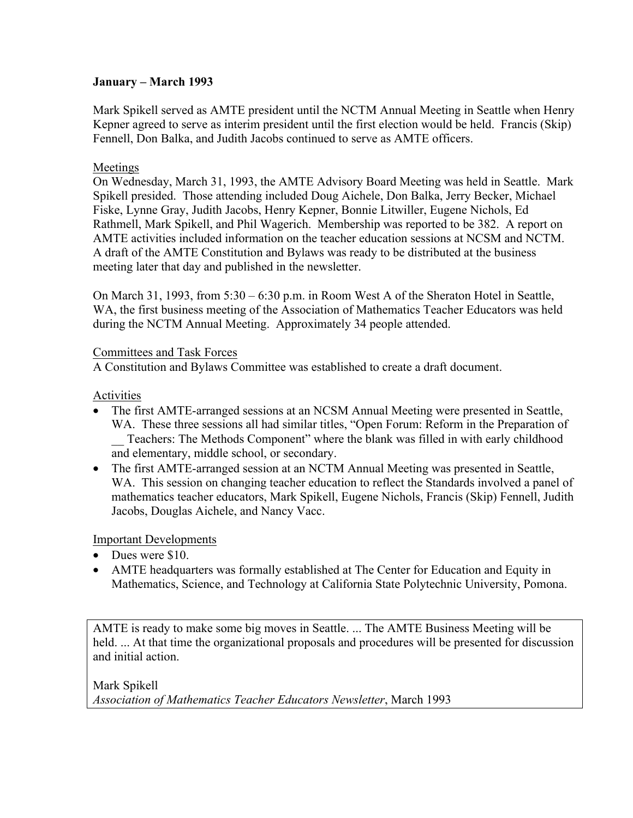# **January – March 1993**

Mark Spikell served as AMTE president until the NCTM Annual Meeting in Seattle when Henry Kepner agreed to serve as interim president until the first election would be held. Francis (Skip) Fennell, Don Balka, and Judith Jacobs continued to serve as AMTE officers.

# Meetings

On Wednesday, March 31, 1993, the AMTE Advisory Board Meeting was held in Seattle. Mark Spikell presided. Those attending included Doug Aichele, Don Balka, Jerry Becker, Michael Fiske, Lynne Gray, Judith Jacobs, Henry Kepner, Bonnie Litwiller, Eugene Nichols, Ed Rathmell, Mark Spikell, and Phil Wagerich. Membership was reported to be 382. A report on AMTE activities included information on the teacher education sessions at NCSM and NCTM. A draft of the AMTE Constitution and Bylaws was ready to be distributed at the business meeting later that day and published in the newsletter.

On March 31, 1993, from 5:30 – 6:30 p.m. in Room West A of the Sheraton Hotel in Seattle, WA, the first business meeting of the Association of Mathematics Teacher Educators was held during the NCTM Annual Meeting. Approximately 34 people attended.

# Committees and Task Forces

A Constitution and Bylaws Committee was established to create a draft document.

# Activities

- The first AMTE-arranged sessions at an NCSM Annual Meeting were presented in Seattle, WA. These three sessions all had similar titles, "Open Forum: Reform in the Preparation of \_\_ Teachers: The Methods Component" where the blank was filled in with early childhood and elementary, middle school, or secondary.
- The first AMTE-arranged session at an NCTM Annual Meeting was presented in Seattle, WA. This session on changing teacher education to reflect the Standards involved a panel of mathematics teacher educators, Mark Spikell, Eugene Nichols, Francis (Skip) Fennell, Judith Jacobs, Douglas Aichele, and Nancy Vacc.

# Important Developments

- Dues were \$10.
- AMTE headquarters was formally established at The Center for Education and Equity in Mathematics, Science, and Technology at California State Polytechnic University, Pomona.

AMTE is ready to make some big moves in Seattle. ... The AMTE Business Meeting will be held. ... At that time the organizational proposals and procedures will be presented for discussion and initial action.

Mark Spikell *Association of Mathematics Teacher Educators Newsletter*, March 1993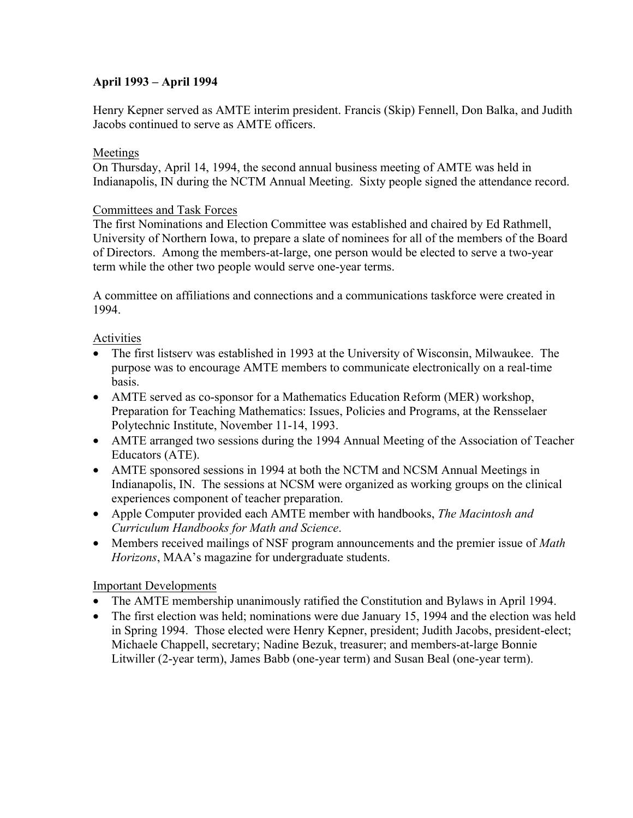# **April 1993 – April 1994**

Henry Kepner served as AMTE interim president. Francis (Skip) Fennell, Don Balka, and Judith Jacobs continued to serve as AMTE officers.

# Meetings

On Thursday, April 14, 1994, the second annual business meeting of AMTE was held in Indianapolis, IN during the NCTM Annual Meeting. Sixty people signed the attendance record.

# Committees and Task Forces

The first Nominations and Election Committee was established and chaired by Ed Rathmell, University of Northern Iowa, to prepare a slate of nominees for all of the members of the Board of Directors. Among the members-at-large, one person would be elected to serve a two-year term while the other two people would serve one-year terms.

A committee on affiliations and connections and a communications taskforce were created in 1994.

# Activities

- The first listsery was established in 1993 at the University of Wisconsin, Milwaukee. The purpose was to encourage AMTE members to communicate electronically on a real-time basis.
- AMTE served as co-sponsor for a Mathematics Education Reform (MER) workshop, Preparation for Teaching Mathematics: Issues, Policies and Programs, at the Rensselaer Polytechnic Institute, November 11-14, 1993.
- AMTE arranged two sessions during the 1994 Annual Meeting of the Association of Teacher Educators (ATE).
- AMTE sponsored sessions in 1994 at both the NCTM and NCSM Annual Meetings in Indianapolis, IN. The sessions at NCSM were organized as working groups on the clinical experiences component of teacher preparation.
- Apple Computer provided each AMTE member with handbooks, *The Macintosh and Curriculum Handbooks for Math and Science*.
- Members received mailings of NSF program announcements and the premier issue of *Math Horizons*, MAA's magazine for undergraduate students.

# Important Developments

- The AMTE membership unanimously ratified the Constitution and Bylaws in April 1994.
- The first election was held; nominations were due January 15, 1994 and the election was held in Spring 1994. Those elected were Henry Kepner, president; Judith Jacobs, president-elect; Michaele Chappell, secretary; Nadine Bezuk, treasurer; and members-at-large Bonnie Litwiller (2-year term), James Babb (one-year term) and Susan Beal (one-year term).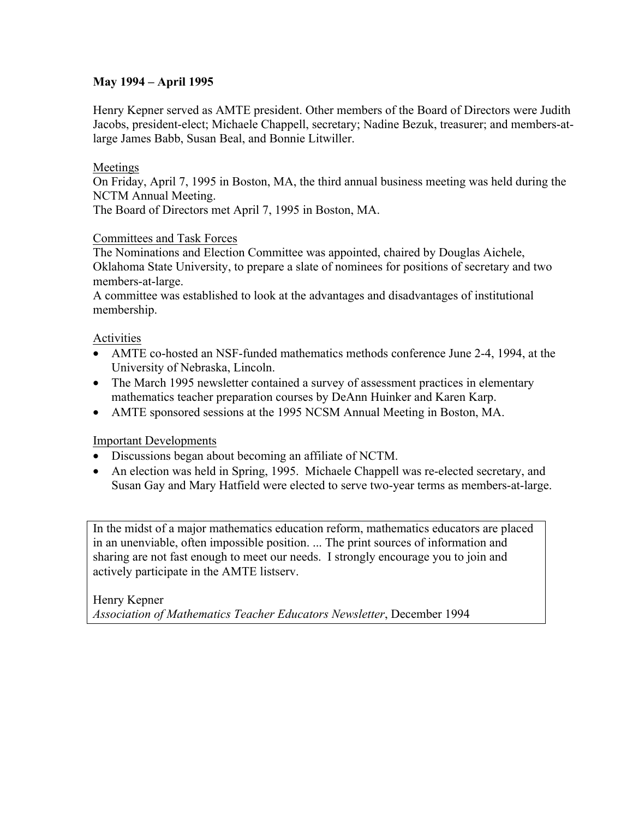# **May 1994 – April 1995**

Henry Kepner served as AMTE president. Other members of the Board of Directors were Judith Jacobs, president-elect; Michaele Chappell, secretary; Nadine Bezuk, treasurer; and members-atlarge James Babb, Susan Beal, and Bonnie Litwiller.

# Meetings

On Friday, April 7, 1995 in Boston, MA, the third annual business meeting was held during the NCTM Annual Meeting.

The Board of Directors met April 7, 1995 in Boston, MA.

# Committees and Task Forces

The Nominations and Election Committee was appointed, chaired by Douglas Aichele, Oklahoma State University, to prepare a slate of nominees for positions of secretary and two members-at-large.

A committee was established to look at the advantages and disadvantages of institutional membership.

# Activities

- AMTE co-hosted an NSF-funded mathematics methods conference June 2-4, 1994, at the University of Nebraska, Lincoln.
- The March 1995 newsletter contained a survey of assessment practices in elementary mathematics teacher preparation courses by DeAnn Huinker and Karen Karp.
- AMTE sponsored sessions at the 1995 NCSM Annual Meeting in Boston, MA.

# Important Developments

- Discussions began about becoming an affiliate of NCTM.
- An election was held in Spring, 1995. Michaele Chappell was re-elected secretary, and Susan Gay and Mary Hatfield were elected to serve two-year terms as members-at-large.

In the midst of a major mathematics education reform, mathematics educators are placed in an unenviable, often impossible position. ... The print sources of information and sharing are not fast enough to meet our needs. I strongly encourage you to join and actively participate in the AMTE listserv.

Henry Kepner *Association of Mathematics Teacher Educators Newsletter*, December 1994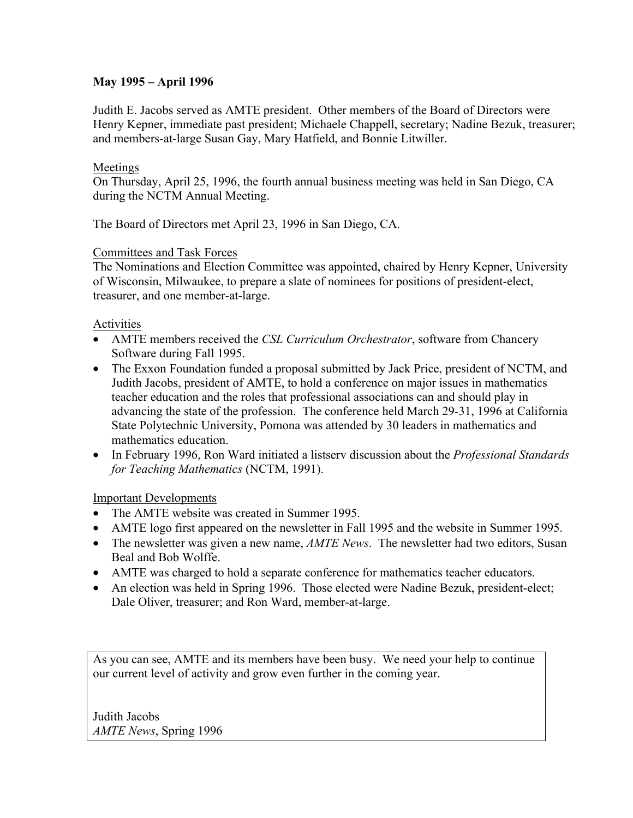# **May 1995 – April 1996**

Judith E. Jacobs served as AMTE president. Other members of the Board of Directors were Henry Kepner, immediate past president; Michaele Chappell, secretary; Nadine Bezuk, treasurer; and members-at-large Susan Gay, Mary Hatfield, and Bonnie Litwiller.

# Meetings

On Thursday, April 25, 1996, the fourth annual business meeting was held in San Diego, CA during the NCTM Annual Meeting.

The Board of Directors met April 23, 1996 in San Diego, CA.

# Committees and Task Forces

The Nominations and Election Committee was appointed, chaired by Henry Kepner, University of Wisconsin, Milwaukee, to prepare a slate of nominees for positions of president-elect, treasurer, and one member-at-large.

# Activities

- AMTE members received the *CSL Curriculum Orchestrator*, software from Chancery Software during Fall 1995.
- The Exxon Foundation funded a proposal submitted by Jack Price, president of NCTM, and Judith Jacobs, president of AMTE, to hold a conference on major issues in mathematics teacher education and the roles that professional associations can and should play in advancing the state of the profession. The conference held March 29-31, 1996 at California State Polytechnic University, Pomona was attended by 30 leaders in mathematics and mathematics education.
- In February 1996, Ron Ward initiated a listserv discussion about the *Professional Standards for Teaching Mathematics* (NCTM, 1991).

# Important Developments

- The AMTE website was created in Summer 1995.
- AMTE logo first appeared on the newsletter in Fall 1995 and the website in Summer 1995.
- The newsletter was given a new name, *AMTE News*. The newsletter had two editors, Susan Beal and Bob Wolffe.
- AMTE was charged to hold a separate conference for mathematics teacher educators.
- An election was held in Spring 1996. Those elected were Nadine Bezuk, president-elect; Dale Oliver, treasurer; and Ron Ward, member-at-large.

As you can see, AMTE and its members have been busy. We need your help to continue our current level of activity and grow even further in the coming year.

Judith Jacobs *AMTE News*, Spring 1996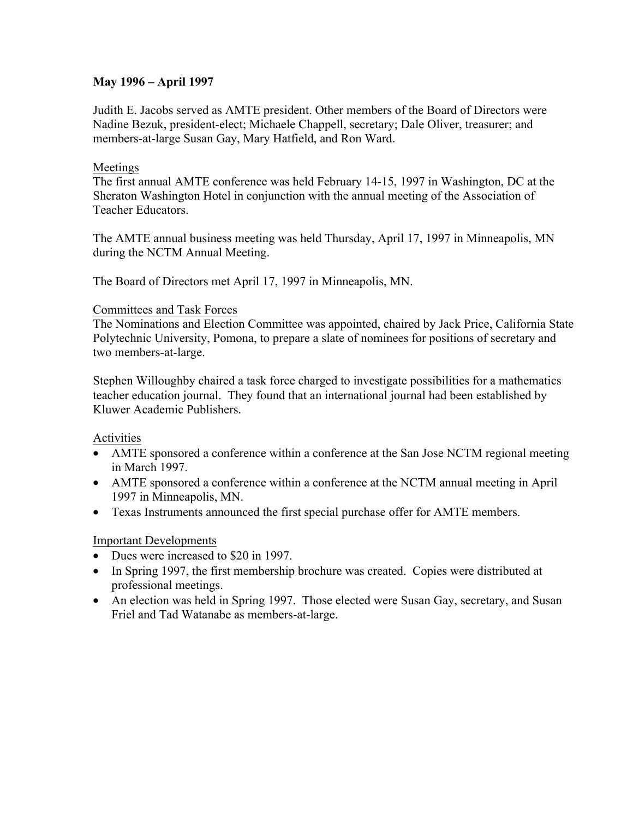# **May 1996 – April 1997**

Judith E. Jacobs served as AMTE president. Other members of the Board of Directors were Nadine Bezuk, president-elect; Michaele Chappell, secretary; Dale Oliver, treasurer; and members-at-large Susan Gay, Mary Hatfield, and Ron Ward.

# Meetings

The first annual AMTE conference was held February 14-15, 1997 in Washington, DC at the Sheraton Washington Hotel in conjunction with the annual meeting of the Association of Teacher Educators.

The AMTE annual business meeting was held Thursday, April 17, 1997 in Minneapolis, MN during the NCTM Annual Meeting.

The Board of Directors met April 17, 1997 in Minneapolis, MN.

# Committees and Task Forces

The Nominations and Election Committee was appointed, chaired by Jack Price, California State Polytechnic University, Pomona, to prepare a slate of nominees for positions of secretary and two members-at-large.

Stephen Willoughby chaired a task force charged to investigate possibilities for a mathematics teacher education journal. They found that an international journal had been established by Kluwer Academic Publishers.

Activities

- AMTE sponsored a conference within a conference at the San Jose NCTM regional meeting in March 1997.
- AMTE sponsored a conference within a conference at the NCTM annual meeting in April 1997 in Minneapolis, MN.
- Texas Instruments announced the first special purchase offer for AMTE members.

# Important Developments

- Dues were increased to \$20 in 1997.
- In Spring 1997, the first membership brochure was created. Copies were distributed at professional meetings.
- An election was held in Spring 1997. Those elected were Susan Gay, secretary, and Susan Friel and Tad Watanabe as members-at-large.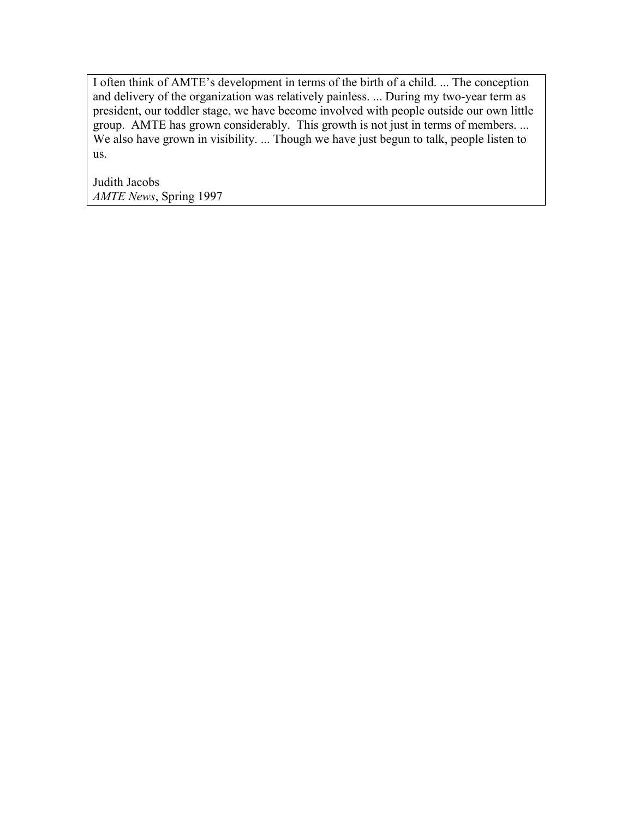I often think of AMTE's development in terms of the birth of a child. ... The conception and delivery of the organization was relatively painless. ... During my two-year term as president, our toddler stage, we have become involved with people outside our own little group. AMTE has grown considerably. This growth is not just in terms of members. ... We also have grown in visibility. ... Though we have just begun to talk, people listen to us.

Judith Jacobs *AMTE News*, Spring 1997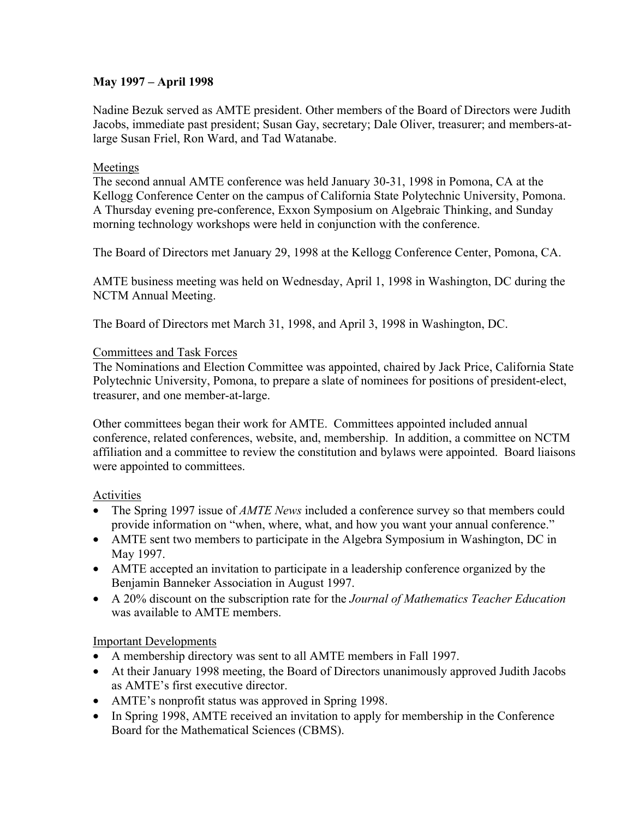# **May 1997 – April 1998**

Nadine Bezuk served as AMTE president. Other members of the Board of Directors were Judith Jacobs, immediate past president; Susan Gay, secretary; Dale Oliver, treasurer; and members-atlarge Susan Friel, Ron Ward, and Tad Watanabe.

# Meetings

The second annual AMTE conference was held January 30-31, 1998 in Pomona, CA at the Kellogg Conference Center on the campus of California State Polytechnic University, Pomona. A Thursday evening pre-conference, Exxon Symposium on Algebraic Thinking, and Sunday morning technology workshops were held in conjunction with the conference.

The Board of Directors met January 29, 1998 at the Kellogg Conference Center, Pomona, CA.

AMTE business meeting was held on Wednesday, April 1, 1998 in Washington, DC during the NCTM Annual Meeting.

The Board of Directors met March 31, 1998, and April 3, 1998 in Washington, DC.

# Committees and Task Forces

The Nominations and Election Committee was appointed, chaired by Jack Price, California State Polytechnic University, Pomona, to prepare a slate of nominees for positions of president-elect, treasurer, and one member-at-large.

Other committees began their work for AMTE. Committees appointed included annual conference, related conferences, website, and, membership. In addition, a committee on NCTM affiliation and a committee to review the constitution and bylaws were appointed. Board liaisons were appointed to committees.

# Activities

- The Spring 1997 issue of *AMTE News* included a conference survey so that members could provide information on "when, where, what, and how you want your annual conference."
- AMTE sent two members to participate in the Algebra Symposium in Washington, DC in May 1997.
- AMTE accepted an invitation to participate in a leadership conference organized by the Benjamin Banneker Association in August 1997.
- A 20% discount on the subscription rate for the *Journal of Mathematics Teacher Education*  was available to AMTE members.

# Important Developments

- A membership directory was sent to all AMTE members in Fall 1997.
- At their January 1998 meeting, the Board of Directors unanimously approved Judith Jacobs as AMTE's first executive director.
- AMTE's nonprofit status was approved in Spring 1998.
- In Spring 1998, AMTE received an invitation to apply for membership in the Conference Board for the Mathematical Sciences (CBMS).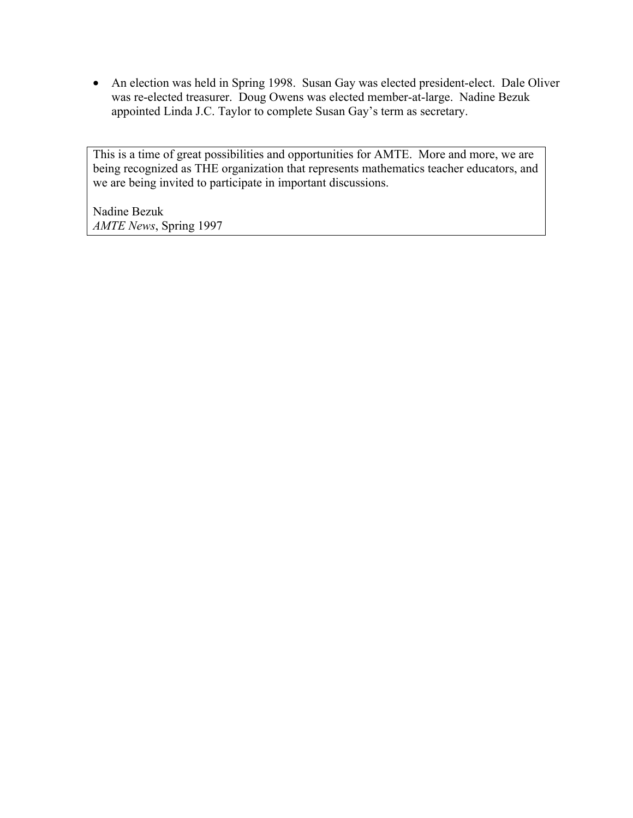• An election was held in Spring 1998. Susan Gay was elected president-elect. Dale Oliver was re-elected treasurer. Doug Owens was elected member-at-large. Nadine Bezuk appointed Linda J.C. Taylor to complete Susan Gay's term as secretary.

This is a time of great possibilities and opportunities for AMTE. More and more, we are being recognized as THE organization that represents mathematics teacher educators, and we are being invited to participate in important discussions.

Nadine Bezuk *AMTE News*, Spring 1997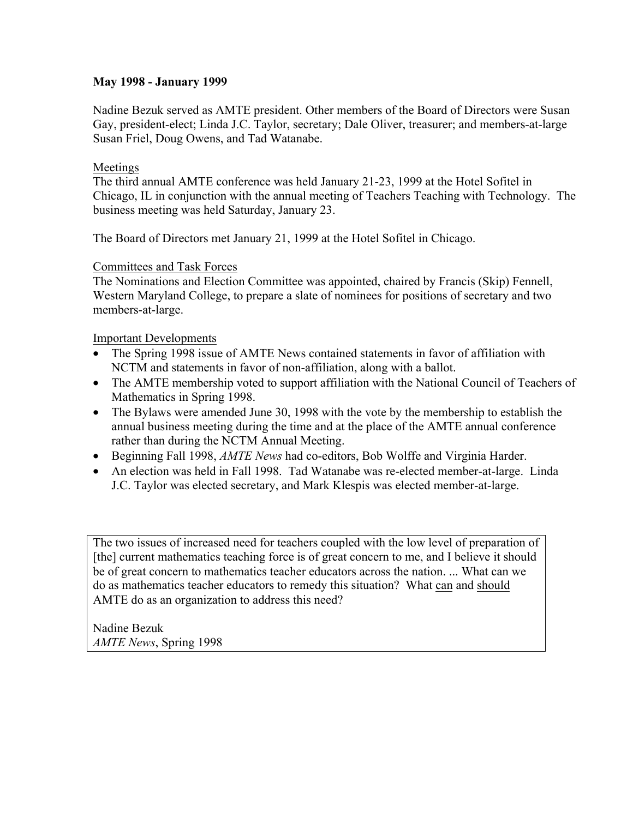# **May 1998 - January 1999**

Nadine Bezuk served as AMTE president. Other members of the Board of Directors were Susan Gay, president-elect; Linda J.C. Taylor, secretary; Dale Oliver, treasurer; and members-at-large Susan Friel, Doug Owens, and Tad Watanabe.

# Meetings

The third annual AMTE conference was held January 21-23, 1999 at the Hotel Sofitel in Chicago, IL in conjunction with the annual meeting of Teachers Teaching with Technology. The business meeting was held Saturday, January 23.

The Board of Directors met January 21, 1999 at the Hotel Sofitel in Chicago.

#### Committees and Task Forces

The Nominations and Election Committee was appointed, chaired by Francis (Skip) Fennell, Western Maryland College, to prepare a slate of nominees for positions of secretary and two members-at-large.

# Important Developments

- The Spring 1998 issue of AMTE News contained statements in favor of affiliation with NCTM and statements in favor of non-affiliation, along with a ballot.
- The AMTE membership voted to support affiliation with the National Council of Teachers of Mathematics in Spring 1998.
- The Bylaws were amended June 30, 1998 with the vote by the membership to establish the annual business meeting during the time and at the place of the AMTE annual conference rather than during the NCTM Annual Meeting.
- Beginning Fall 1998, *AMTE News* had co-editors, Bob Wolffe and Virginia Harder.
- An election was held in Fall 1998. Tad Watanabe was re-elected member-at-large. Linda J.C. Taylor was elected secretary, and Mark Klespis was elected member-at-large.

The two issues of increased need for teachers coupled with the low level of preparation of [the] current mathematics teaching force is of great concern to me, and I believe it should be of great concern to mathematics teacher educators across the nation. ... What can we do as mathematics teacher educators to remedy this situation? What can and should AMTE do as an organization to address this need?

Nadine Bezuk *AMTE News*, Spring 1998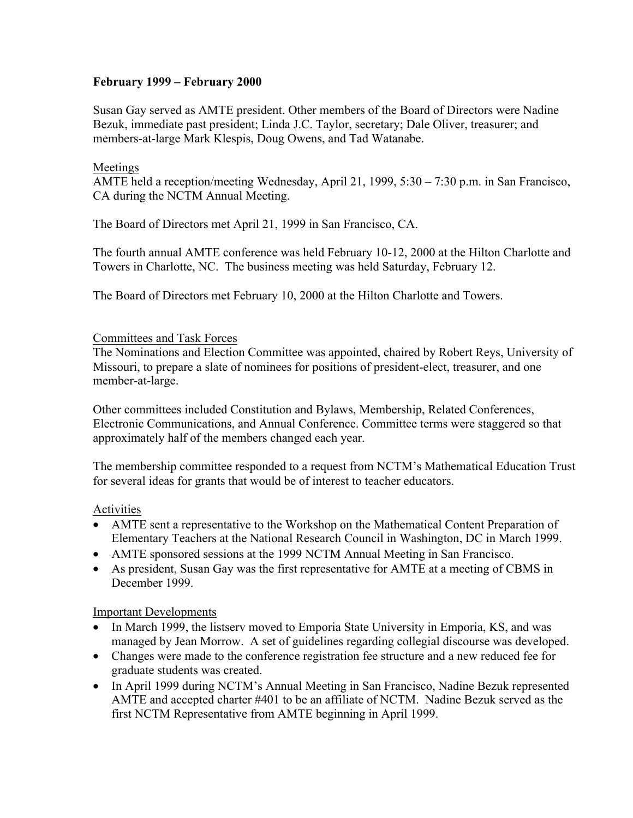# **February 1999 – February 2000**

Susan Gay served as AMTE president. Other members of the Board of Directors were Nadine Bezuk, immediate past president; Linda J.C. Taylor, secretary; Dale Oliver, treasurer; and members-at-large Mark Klespis, Doug Owens, and Tad Watanabe.

# Meetings

AMTE held a reception/meeting Wednesday, April 21, 1999, 5:30 – 7:30 p.m. in San Francisco, CA during the NCTM Annual Meeting.

The Board of Directors met April 21, 1999 in San Francisco, CA.

The fourth annual AMTE conference was held February 10-12, 2000 at the Hilton Charlotte and Towers in Charlotte, NC. The business meeting was held Saturday, February 12.

The Board of Directors met February 10, 2000 at the Hilton Charlotte and Towers.

#### Committees and Task Forces

The Nominations and Election Committee was appointed, chaired by Robert Reys, University of Missouri, to prepare a slate of nominees for positions of president-elect, treasurer, and one member-at-large.

Other committees included Constitution and Bylaws, Membership, Related Conferences, Electronic Communications, and Annual Conference. Committee terms were staggered so that approximately half of the members changed each year.

The membership committee responded to a request from NCTM's Mathematical Education Trust for several ideas for grants that would be of interest to teacher educators.

#### Activities

- AMTE sent a representative to the Workshop on the Mathematical Content Preparation of Elementary Teachers at the National Research Council in Washington, DC in March 1999.
- AMTE sponsored sessions at the 1999 NCTM Annual Meeting in San Francisco.
- As president, Susan Gay was the first representative for AMTE at a meeting of CBMS in December 1999.

#### Important Developments

- In March 1999, the listserv moved to Emporia State University in Emporia, KS, and was managed by Jean Morrow. A set of guidelines regarding collegial discourse was developed.
- Changes were made to the conference registration fee structure and a new reduced fee for graduate students was created.
- In April 1999 during NCTM's Annual Meeting in San Francisco, Nadine Bezuk represented AMTE and accepted charter #401 to be an affiliate of NCTM. Nadine Bezuk served as the first NCTM Representative from AMTE beginning in April 1999.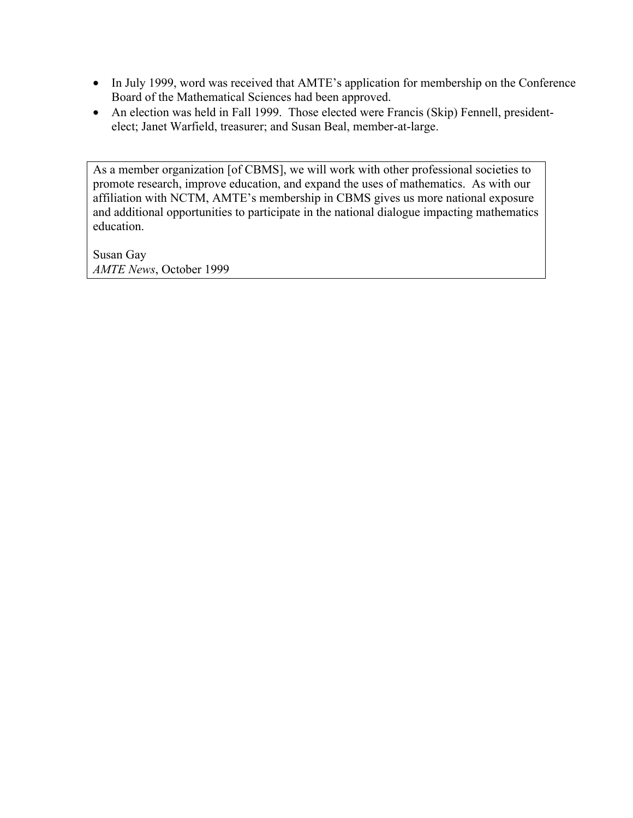- In July 1999, word was received that AMTE's application for membership on the Conference Board of the Mathematical Sciences had been approved.
- An election was held in Fall 1999. Those elected were Francis (Skip) Fennell, presidentelect; Janet Warfield, treasurer; and Susan Beal, member-at-large.

As a member organization [of CBMS], we will work with other professional societies to promote research, improve education, and expand the uses of mathematics. As with our affiliation with NCTM, AMTE's membership in CBMS gives us more national exposure and additional opportunities to participate in the national dialogue impacting mathematics education.

Susan Gay *AMTE News*, October 1999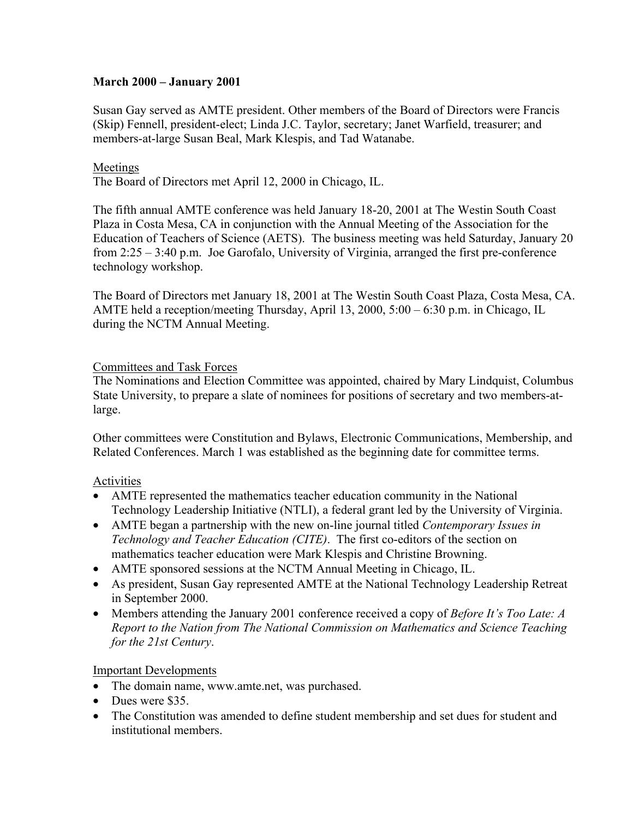# **March 2000 – January 2001**

Susan Gay served as AMTE president. Other members of the Board of Directors were Francis (Skip) Fennell, president-elect; Linda J.C. Taylor, secretary; Janet Warfield, treasurer; and members-at-large Susan Beal, Mark Klespis, and Tad Watanabe.

#### Meetings

The Board of Directors met April 12, 2000 in Chicago, IL.

The fifth annual AMTE conference was held January 18-20, 2001 at The Westin South Coast Plaza in Costa Mesa, CA in conjunction with the Annual Meeting of the Association for the Education of Teachers of Science (AETS). The business meeting was held Saturday, January 20 from 2:25 – 3:40 p.m. Joe Garofalo, University of Virginia, arranged the first pre-conference technology workshop.

The Board of Directors met January 18, 2001 at The Westin South Coast Plaza, Costa Mesa, CA. AMTE held a reception/meeting Thursday, April 13, 2000, 5:00 – 6:30 p.m. in Chicago, IL during the NCTM Annual Meeting.

#### Committees and Task Forces

The Nominations and Election Committee was appointed, chaired by Mary Lindquist, Columbus State University, to prepare a slate of nominees for positions of secretary and two members-atlarge.

Other committees were Constitution and Bylaws, Electronic Communications, Membership, and Related Conferences. March 1 was established as the beginning date for committee terms.

#### Activities

- AMTE represented the mathematics teacher education community in the National Technology Leadership Initiative (NTLI), a federal grant led by the University of Virginia.
- AMTE began a partnership with the new on-line journal titled *Contemporary Issues in Technology and Teacher Education (CITE)*. The first co-editors of the section on mathematics teacher education were Mark Klespis and Christine Browning.
- AMTE sponsored sessions at the NCTM Annual Meeting in Chicago, IL.
- As president, Susan Gay represented AMTE at the National Technology Leadership Retreat in September 2000.
- Members attending the January 2001 conference received a copy of *Before It's Too Late: A Report to the Nation from The National Commission on Mathematics and Science Teaching for the 21st Century*.

#### Important Developments

- The domain name, www.amte.net, was purchased.
- Dues were \$35
- The Constitution was amended to define student membership and set dues for student and institutional members.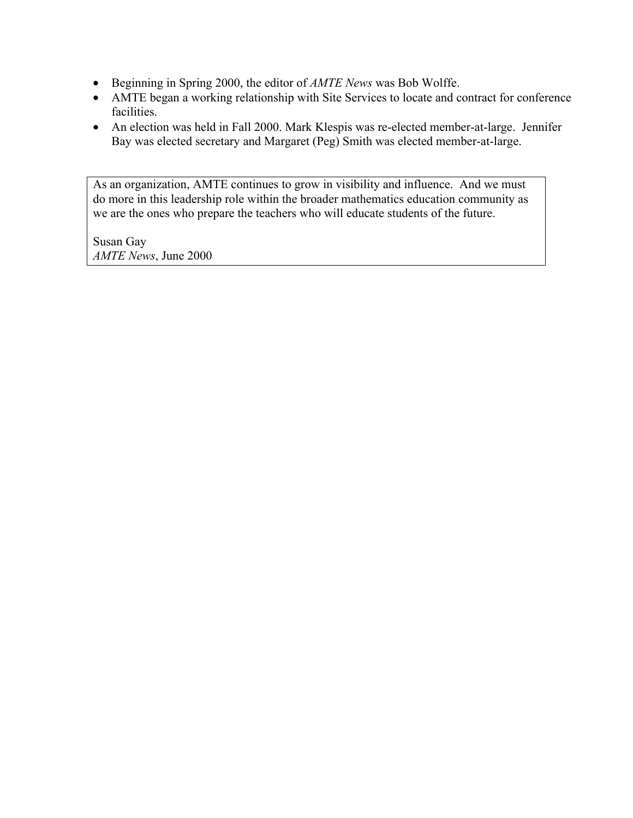- Beginning in Spring 2000, the editor of *AMTE News* was Bob Wolffe.
- AMTE began a working relationship with Site Services to locate and contract for conference facilities.
- An election was held in Fall 2000. Mark Klespis was re-elected member-at-large. Jennifer Bay was elected secretary and Margaret (Peg) Smith was elected member-at-large.

As an organization, AMTE continues to grow in visibility and influence. And we must do more in this leadership role within the broader mathematics education community as we are the ones who prepare the teachers who will educate students of the future.

Susan Gay *AMTE News*, June 2000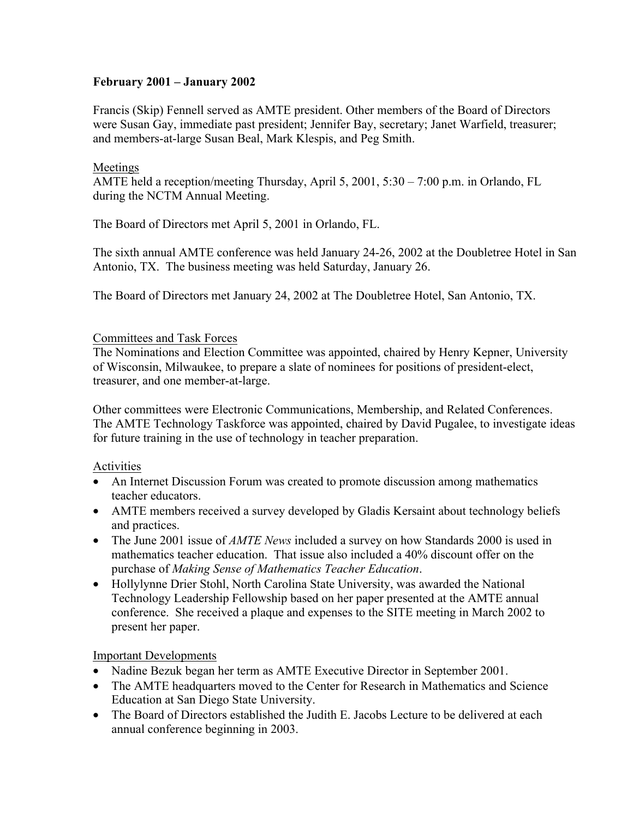# **February 2001 – January 2002**

Francis (Skip) Fennell served as AMTE president. Other members of the Board of Directors were Susan Gay, immediate past president; Jennifer Bay, secretary; Janet Warfield, treasurer; and members-at-large Susan Beal, Mark Klespis, and Peg Smith.

# Meetings

AMTE held a reception/meeting Thursday, April 5, 2001, 5:30 – 7:00 p.m. in Orlando, FL during the NCTM Annual Meeting.

The Board of Directors met April 5, 2001 in Orlando, FL.

The sixth annual AMTE conference was held January 24-26, 2002 at the Doubletree Hotel in San Antonio, TX. The business meeting was held Saturday, January 26.

The Board of Directors met January 24, 2002 at The Doubletree Hotel, San Antonio, TX.

# Committees and Task Forces

The Nominations and Election Committee was appointed, chaired by Henry Kepner, University of Wisconsin, Milwaukee, to prepare a slate of nominees for positions of president-elect, treasurer, and one member-at-large.

Other committees were Electronic Communications, Membership, and Related Conferences. The AMTE Technology Taskforce was appointed, chaired by David Pugalee, to investigate ideas for future training in the use of technology in teacher preparation.

# Activities

- An Internet Discussion Forum was created to promote discussion among mathematics teacher educators.
- AMTE members received a survey developed by Gladis Kersaint about technology beliefs and practices.
- The June 2001 issue of *AMTE News* included a survey on how Standards 2000 is used in mathematics teacher education. That issue also included a 40% discount offer on the purchase of *Making Sense of Mathematics Teacher Education*.
- Hollylynne Drier Stohl, North Carolina State University, was awarded the National Technology Leadership Fellowship based on her paper presented at the AMTE annual conference. She received a plaque and expenses to the SITE meeting in March 2002 to present her paper.

# Important Developments

- Nadine Bezuk began her term as AMTE Executive Director in September 2001.
- The AMTE headquarters moved to the Center for Research in Mathematics and Science Education at San Diego State University.
- The Board of Directors established the Judith E. Jacobs Lecture to be delivered at each annual conference beginning in 2003.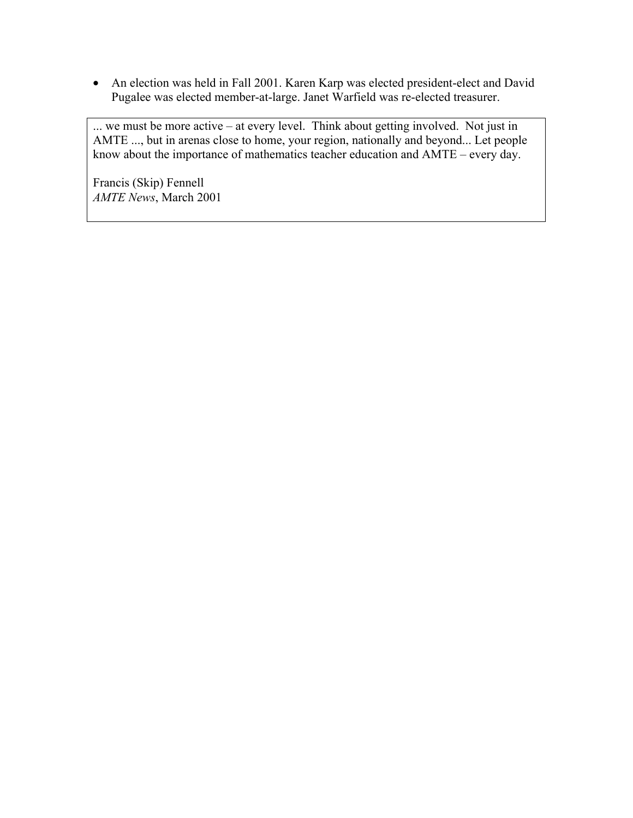• An election was held in Fall 2001. Karen Karp was elected president-elect and David Pugalee was elected member-at-large. Janet Warfield was re-elected treasurer.

... we must be more active – at every level. Think about getting involved. Not just in AMTE ..., but in arenas close to home, your region, nationally and beyond... Let people know about the importance of mathematics teacher education and AMTE – every day.

Francis (Skip) Fennell *AMTE News*, March 2001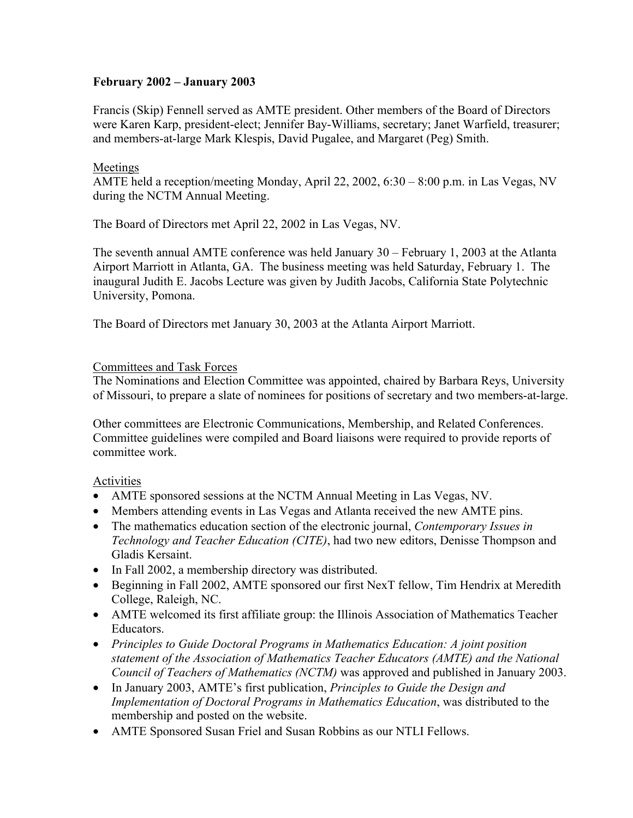# **February 2002 – January 2003**

Francis (Skip) Fennell served as AMTE president. Other members of the Board of Directors were Karen Karp, president-elect; Jennifer Bay-Williams, secretary; Janet Warfield, treasurer; and members-at-large Mark Klespis, David Pugalee, and Margaret (Peg) Smith.

# Meetings

AMTE held a reception/meeting Monday, April 22, 2002, 6:30 – 8:00 p.m. in Las Vegas, NV during the NCTM Annual Meeting.

The Board of Directors met April 22, 2002 in Las Vegas, NV.

The seventh annual AMTE conference was held January 30 – February 1, 2003 at the Atlanta Airport Marriott in Atlanta, GA. The business meeting was held Saturday, February 1. The inaugural Judith E. Jacobs Lecture was given by Judith Jacobs, California State Polytechnic University, Pomona.

The Board of Directors met January 30, 2003 at the Atlanta Airport Marriott.

# Committees and Task Forces

The Nominations and Election Committee was appointed, chaired by Barbara Reys, University of Missouri, to prepare a slate of nominees for positions of secretary and two members-at-large.

Other committees are Electronic Communications, Membership, and Related Conferences. Committee guidelines were compiled and Board liaisons were required to provide reports of committee work.

# Activities

- AMTE sponsored sessions at the NCTM Annual Meeting in Las Vegas, NV.
- Members attending events in Las Vegas and Atlanta received the new AMTE pins.
- The mathematics education section of the electronic journal, *Contemporary Issues in Technology and Teacher Education (CITE)*, had two new editors, Denisse Thompson and Gladis Kersaint.
- In Fall 2002, a membership directory was distributed.
- Beginning in Fall 2002, AMTE sponsored our first NexT fellow, Tim Hendrix at Meredith College, Raleigh, NC.
- AMTE welcomed its first affiliate group: the Illinois Association of Mathematics Teacher Educators.
- *Principles to Guide Doctoral Programs in Mathematics Education: A joint position statement of the Association of Mathematics Teacher Educators (AMTE) and the National Council of Teachers of Mathematics (NCTM)* was approved and published in January 2003.
- In January 2003, AMTE's first publication, *Principles to Guide the Design and Implementation of Doctoral Programs in Mathematics Education*, was distributed to the membership and posted on the website.
- AMTE Sponsored Susan Friel and Susan Robbins as our NTLI Fellows.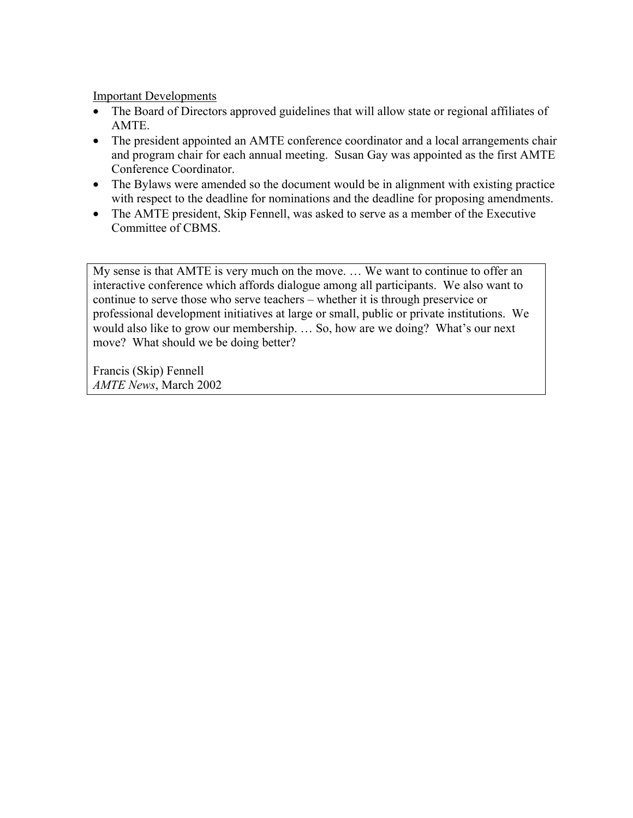Important Developments

- The Board of Directors approved guidelines that will allow state or regional affiliates of AMTE.
- The president appointed an AMTE conference coordinator and a local arrangements chair and program chair for each annual meeting. Susan Gay was appointed as the first AMTE Conference Coordinator.
- The Bylaws were amended so the document would be in alignment with existing practice with respect to the deadline for nominations and the deadline for proposing amendments.
- The AMTE president, Skip Fennell, was asked to serve as a member of the Executive Committee of CBMS.

My sense is that AMTE is very much on the move. … We want to continue to offer an interactive conference which affords dialogue among all participants. We also want to continue to serve those who serve teachers – whether it is through preservice or professional development initiatives at large or small, public or private institutions. We would also like to grow our membership. … So, how are we doing? What's our next move? What should we be doing better?

Francis (Skip) Fennell *AMTE News*, March 2002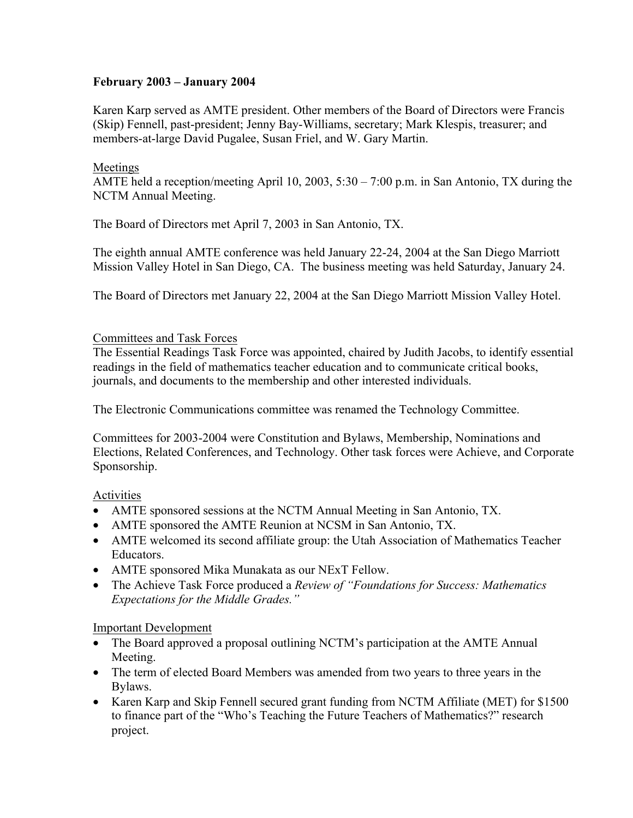# **February 2003 – January 2004**

Karen Karp served as AMTE president. Other members of the Board of Directors were Francis (Skip) Fennell, past-president; Jenny Bay-Williams, secretary; Mark Klespis, treasurer; and members-at-large David Pugalee, Susan Friel, and W. Gary Martin.

# Meetings

AMTE held a reception/meeting April 10, 2003, 5:30 – 7:00 p.m. in San Antonio, TX during the NCTM Annual Meeting.

The Board of Directors met April 7, 2003 in San Antonio, TX.

The eighth annual AMTE conference was held January 22-24, 2004 at the San Diego Marriott Mission Valley Hotel in San Diego, CA. The business meeting was held Saturday, January 24.

The Board of Directors met January 22, 2004 at the San Diego Marriott Mission Valley Hotel.

# Committees and Task Forces

The Essential Readings Task Force was appointed, chaired by Judith Jacobs, to identify essential readings in the field of mathematics teacher education and to communicate critical books, journals, and documents to the membership and other interested individuals.

The Electronic Communications committee was renamed the Technology Committee.

Committees for 2003-2004 were Constitution and Bylaws, Membership, Nominations and Elections, Related Conferences, and Technology. Other task forces were Achieve, and Corporate Sponsorship.

# Activities

- AMTE sponsored sessions at the NCTM Annual Meeting in San Antonio, TX.
- AMTE sponsored the AMTE Reunion at NCSM in San Antonio, TX.
- AMTE welcomed its second affiliate group: the Utah Association of Mathematics Teacher Educators.
- AMTE sponsored Mika Munakata as our NExT Fellow.
- The Achieve Task Force produced a *Review of "Foundations for Success: Mathematics Expectations for the Middle Grades."*

# Important Development

- The Board approved a proposal outlining NCTM's participation at the AMTE Annual Meeting.
- The term of elected Board Members was amended from two years to three years in the Bylaws.
- Karen Karp and Skip Fennell secured grant funding from NCTM Affiliate (MET) for \$1500 to finance part of the "Who's Teaching the Future Teachers of Mathematics?" research project.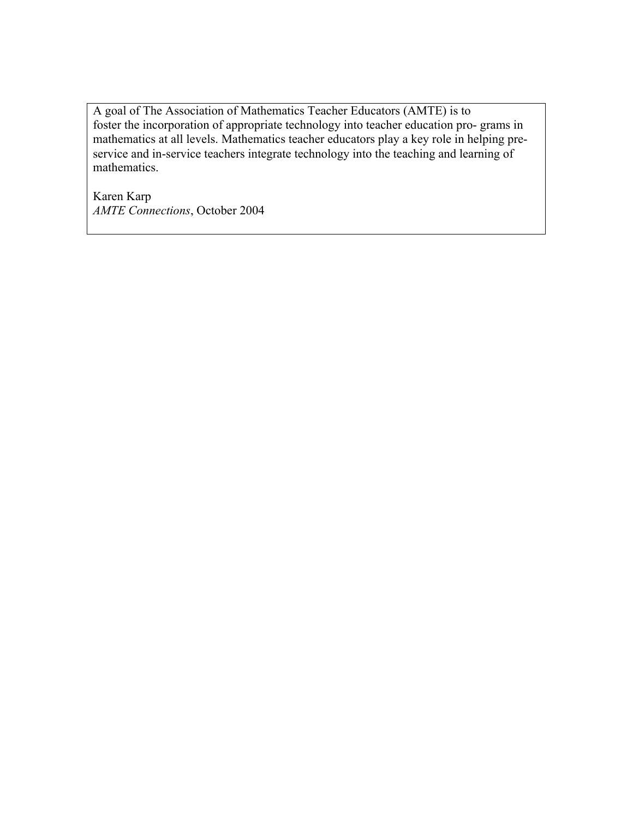A goal of The Association of Mathematics Teacher Educators (AMTE) is to foster the incorporation of appropriate technology into teacher education pro- grams in mathematics at all levels. Mathematics teacher educators play a key role in helping preservice and in-service teachers integrate technology into the teaching and learning of mathematics.

Karen Karp *AMTE Connections*, October 2004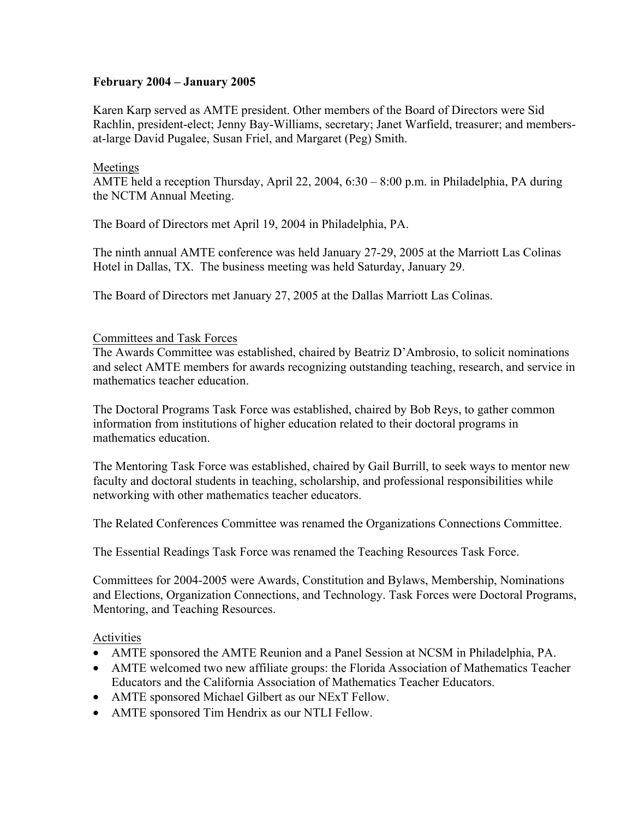# **February 2004 – January 2005**

Karen Karp served as AMTE president. Other members of the Board of Directors were Sid Rachlin, president-elect; Jenny Bay-Williams, secretary; Janet Warfield, treasurer; and membersat-large David Pugalee, Susan Friel, and Margaret (Peg) Smith.

# Meetings

AMTE held a reception Thursday, April 22, 2004, 6:30 – 8:00 p.m. in Philadelphia, PA during the NCTM Annual Meeting.

The Board of Directors met April 19, 2004 in Philadelphia, PA.

The ninth annual AMTE conference was held January 27-29, 2005 at the Marriott Las Colinas Hotel in Dallas, TX. The business meeting was held Saturday, January 29.

The Board of Directors met January 27, 2005 at the Dallas Marriott Las Colinas.

#### Committees and Task Forces

The Awards Committee was established, chaired by Beatriz D'Ambrosio, to solicit nominations and select AMTE members for awards recognizing outstanding teaching, research, and service in mathematics teacher education.

The Doctoral Programs Task Force was established, chaired by Bob Reys, to gather common information from institutions of higher education related to their doctoral programs in mathematics education.

The Mentoring Task Force was established, chaired by Gail Burrill, to seek ways to mentor new faculty and doctoral students in teaching, scholarship, and professional responsibilities while networking with other mathematics teacher educators.

The Related Conferences Committee was renamed the Organizations Connections Committee.

The Essential Readings Task Force was renamed the Teaching Resources Task Force.

Committees for 2004-2005 were Awards, Constitution and Bylaws, Membership, Nominations and Elections, Organization Connections, and Technology. Task Forces were Doctoral Programs, Mentoring, and Teaching Resources.

#### Activities

- AMTE sponsored the AMTE Reunion and a Panel Session at NCSM in Philadelphia, PA.
- AMTE welcomed two new affiliate groups: the Florida Association of Mathematics Teacher Educators and the California Association of Mathematics Teacher Educators.
- AMTE sponsored Michael Gilbert as our NExT Fellow.
- AMTE sponsored Tim Hendrix as our NTLI Fellow.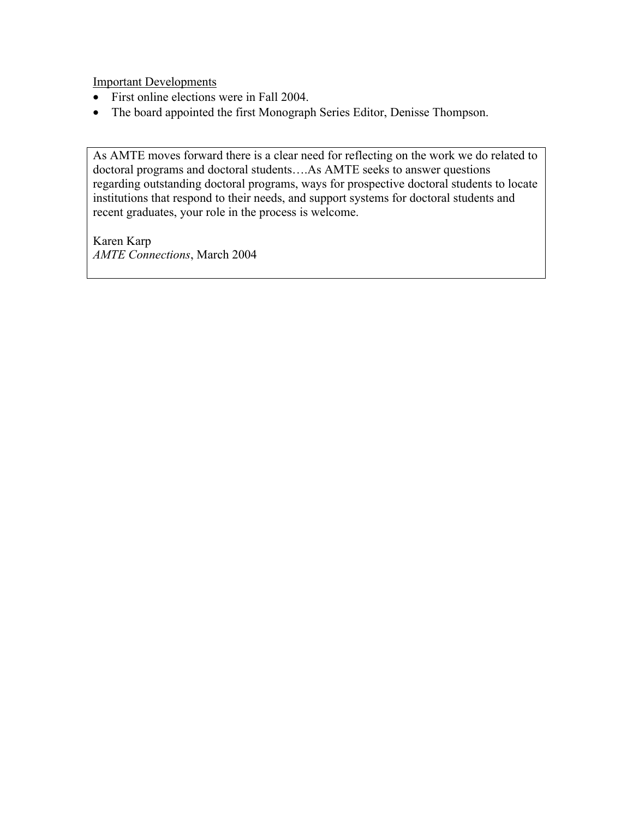Important Developments

- First online elections were in Fall 2004.
- The board appointed the first Monograph Series Editor, Denisse Thompson.

As AMTE moves forward there is a clear need for reflecting on the work we do related to doctoral programs and doctoral students….As AMTE seeks to answer questions regarding outstanding doctoral programs, ways for prospective doctoral students to locate institutions that respond to their needs, and support systems for doctoral students and recent graduates, your role in the process is welcome.

Karen Karp *AMTE Connections*, March 2004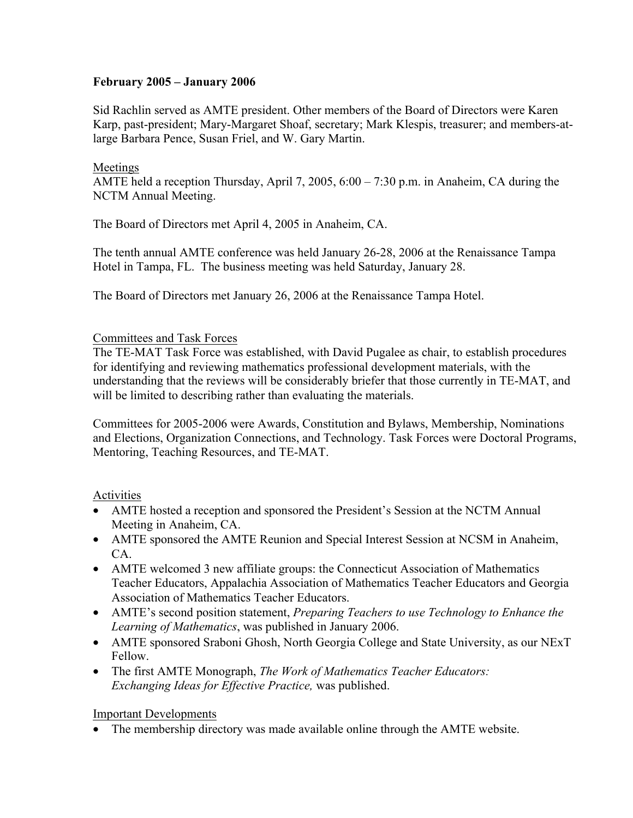# **February 2005 – January 2006**

Sid Rachlin served as AMTE president. Other members of the Board of Directors were Karen Karp, past-president; Mary-Margaret Shoaf, secretary; Mark Klespis, treasurer; and members-atlarge Barbara Pence, Susan Friel, and W. Gary Martin.

# Meetings

AMTE held a reception Thursday, April 7, 2005, 6:00 – 7:30 p.m. in Anaheim, CA during the NCTM Annual Meeting.

The Board of Directors met April 4, 2005 in Anaheim, CA.

The tenth annual AMTE conference was held January 26-28, 2006 at the Renaissance Tampa Hotel in Tampa, FL. The business meeting was held Saturday, January 28.

The Board of Directors met January 26, 2006 at the Renaissance Tampa Hotel.

# Committees and Task Forces

The TE-MAT Task Force was established, with David Pugalee as chair, to establish procedures for identifying and reviewing mathematics professional development materials, with the understanding that the reviews will be considerably briefer that those currently in TE-MAT, and will be limited to describing rather than evaluating the materials.

Committees for 2005-2006 were Awards, Constitution and Bylaws, Membership, Nominations and Elections, Organization Connections, and Technology. Task Forces were Doctoral Programs, Mentoring, Teaching Resources, and TE-MAT.

# Activities

- AMTE hosted a reception and sponsored the President's Session at the NCTM Annual Meeting in Anaheim, CA.
- AMTE sponsored the AMTE Reunion and Special Interest Session at NCSM in Anaheim, CA.
- AMTE welcomed 3 new affiliate groups: the Connecticut Association of Mathematics Teacher Educators, Appalachia Association of Mathematics Teacher Educators and Georgia Association of Mathematics Teacher Educators.
- AMTE's second position statement, *Preparing Teachers to use Technology to Enhance the Learning of Mathematics*, was published in January 2006.
- AMTE sponsored Sraboni Ghosh, North Georgia College and State University, as our NExT Fellow.
- The first AMTE Monograph, *The Work of Mathematics Teacher Educators: Exchanging Ideas for Effective Practice,* was published.

# Important Developments

• The membership directory was made available online through the AMTE website.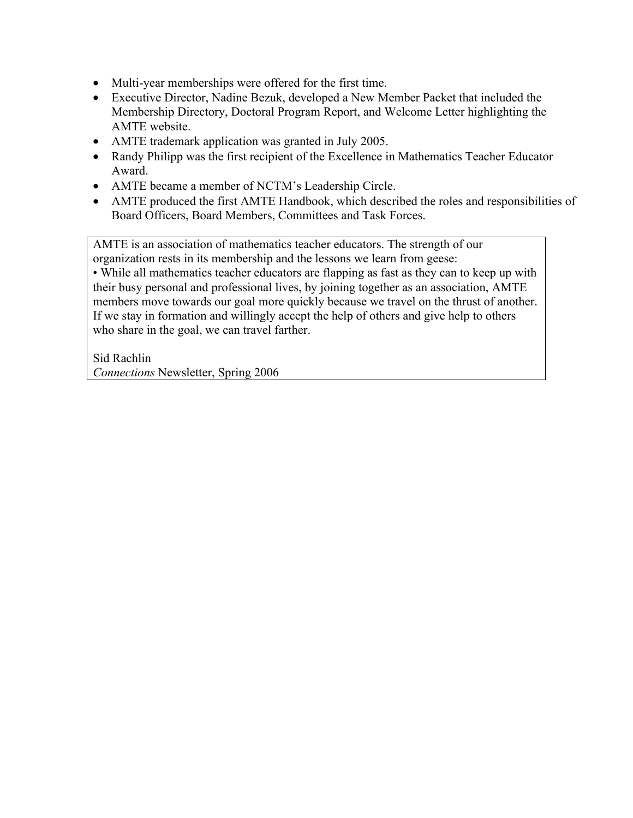- Multi-year memberships were offered for the first time.
- Executive Director, Nadine Bezuk, developed a New Member Packet that included the Membership Directory, Doctoral Program Report, and Welcome Letter highlighting the AMTE website.
- AMTE trademark application was granted in July 2005.
- Randy Philipp was the first recipient of the Excellence in Mathematics Teacher Educator Award.
- AMTE became a member of NCTM's Leadership Circle.
- AMTE produced the first AMTE Handbook, which described the roles and responsibilities of Board Officers, Board Members, Committees and Task Forces.

AMTE is an association of mathematics teacher educators. The strength of our organization rests in its membership and the lessons we learn from geese:

• While all mathematics teacher educators are flapping as fast as they can to keep up with their busy personal and professional lives, by joining together as an association, AMTE members move towards our goal more quickly because we travel on the thrust of another. If we stay in formation and willingly accept the help of others and give help to others who share in the goal, we can travel farther.

Sid Rachlin *Connections* Newsletter, Spring 2006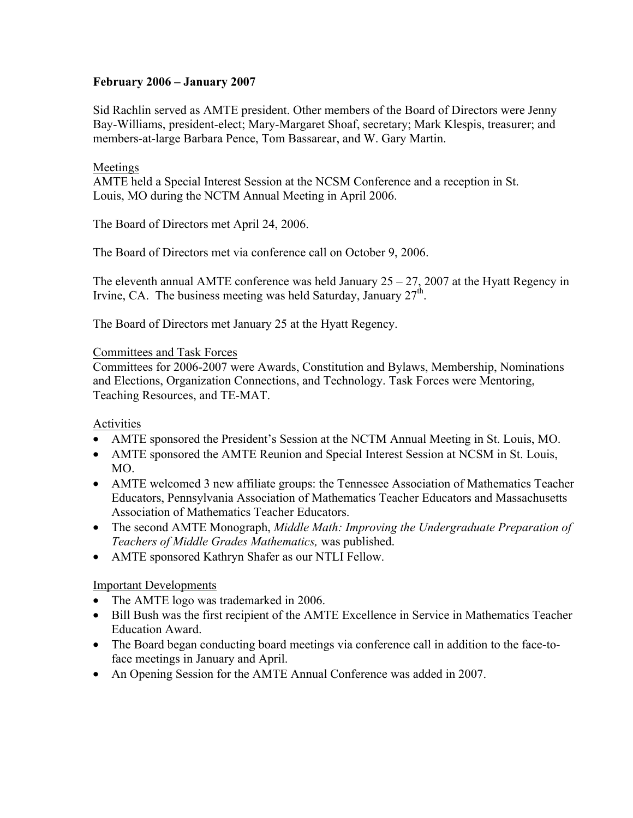# **February 2006 – January 2007**

Sid Rachlin served as AMTE president. Other members of the Board of Directors were Jenny Bay-Williams, president-elect; Mary-Margaret Shoaf, secretary; Mark Klespis, treasurer; and members-at-large Barbara Pence, Tom Bassarear, and W. Gary Martin.

# Meetings

AMTE held a Special Interest Session at the NCSM Conference and a reception in St. Louis, MO during the NCTM Annual Meeting in April 2006.

The Board of Directors met April 24, 2006.

The Board of Directors met via conference call on October 9, 2006.

The eleventh annual AMTE conference was held January  $25 - 27$ , 2007 at the Hyatt Regency in Irvine, CA. The business meeting was held Saturday, January  $27<sup>th</sup>$ .

The Board of Directors met January 25 at the Hyatt Regency.

# Committees and Task Forces

Committees for 2006-2007 were Awards, Constitution and Bylaws, Membership, Nominations and Elections, Organization Connections, and Technology. Task Forces were Mentoring, Teaching Resources, and TE-MAT.

# Activities

- AMTE sponsored the President's Session at the NCTM Annual Meeting in St. Louis, MO.
- AMTE sponsored the AMTE Reunion and Special Interest Session at NCSM in St. Louis, MO.
- AMTE welcomed 3 new affiliate groups: the Tennessee Association of Mathematics Teacher Educators, Pennsylvania Association of Mathematics Teacher Educators and Massachusetts Association of Mathematics Teacher Educators.
- The second AMTE Monograph, *Middle Math: Improving the Undergraduate Preparation of Teachers of Middle Grades Mathematics,* was published.
- AMTE sponsored Kathryn Shafer as our NTLI Fellow.

# Important Developments

- The AMTE logo was trademarked in 2006.
- Bill Bush was the first recipient of the AMTE Excellence in Service in Mathematics Teacher Education Award.
- The Board began conducting board meetings via conference call in addition to the face-toface meetings in January and April.
- An Opening Session for the AMTE Annual Conference was added in 2007.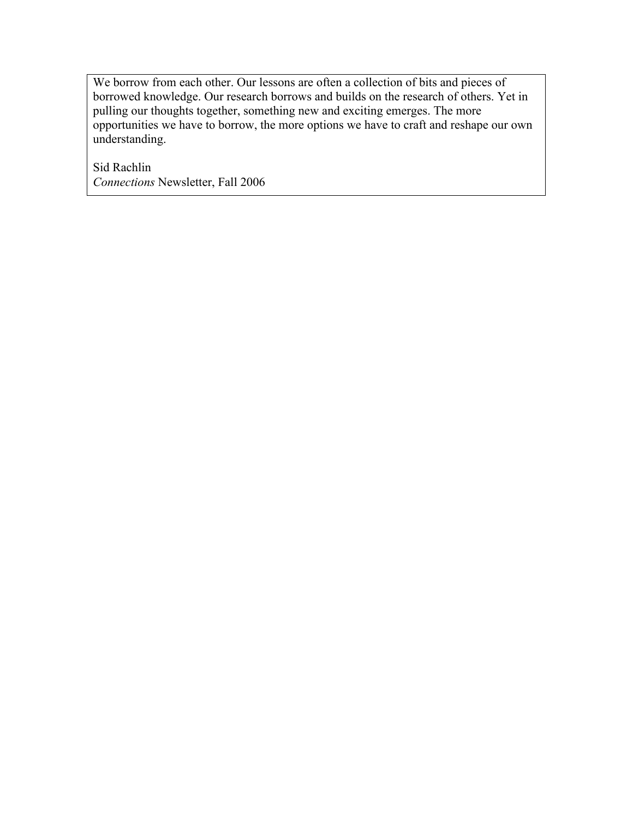We borrow from each other. Our lessons are often a collection of bits and pieces of borrowed knowledge. Our research borrows and builds on the research of others. Yet in pulling our thoughts together, something new and exciting emerges. The more opportunities we have to borrow, the more options we have to craft and reshape our own understanding.

Sid Rachlin *Connections* Newsletter, Fall 2006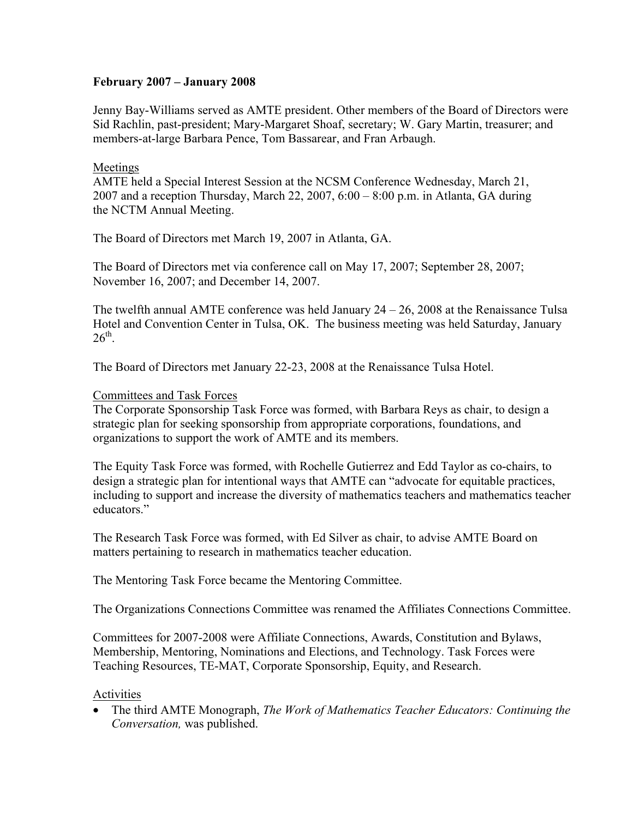# **February 2007 – January 2008**

Jenny Bay-Williams served as AMTE president. Other members of the Board of Directors were Sid Rachlin, past-president; Mary-Margaret Shoaf, secretary; W. Gary Martin, treasurer; and members-at-large Barbara Pence, Tom Bassarear, and Fran Arbaugh.

# Meetings

AMTE held a Special Interest Session at the NCSM Conference Wednesday, March 21, 2007 and a reception Thursday, March 22, 2007,  $6:00 - 8:00$  p.m. in Atlanta, GA during the NCTM Annual Meeting.

The Board of Directors met March 19, 2007 in Atlanta, GA.

The Board of Directors met via conference call on May 17, 2007; September 28, 2007; November 16, 2007; and December 14, 2007.

The twelfth annual AMTE conference was held January  $24 - 26$ , 2008 at the Renaissance Tulsa Hotel and Convention Center in Tulsa, OK. The business meeting was held Saturday, January  $26^{\text{th}}$ 

The Board of Directors met January 22-23, 2008 at the Renaissance Tulsa Hotel.

# Committees and Task Forces

The Corporate Sponsorship Task Force was formed, with Barbara Reys as chair, to design a strategic plan for seeking sponsorship from appropriate corporations, foundations, and organizations to support the work of AMTE and its members.

The Equity Task Force was formed, with Rochelle Gutierrez and Edd Taylor as co-chairs, to design a strategic plan for intentional ways that AMTE can "advocate for equitable practices, including to support and increase the diversity of mathematics teachers and mathematics teacher educators."

The Research Task Force was formed, with Ed Silver as chair, to advise AMTE Board on matters pertaining to research in mathematics teacher education.

The Mentoring Task Force became the Mentoring Committee.

The Organizations Connections Committee was renamed the Affiliates Connections Committee.

Committees for 2007-2008 were Affiliate Connections, Awards, Constitution and Bylaws, Membership, Mentoring, Nominations and Elections, and Technology. Task Forces were Teaching Resources, TE-MAT, Corporate Sponsorship, Equity, and Research.

# Activities

• The third AMTE Monograph, *The Work of Mathematics Teacher Educators: Continuing the Conversation,* was published.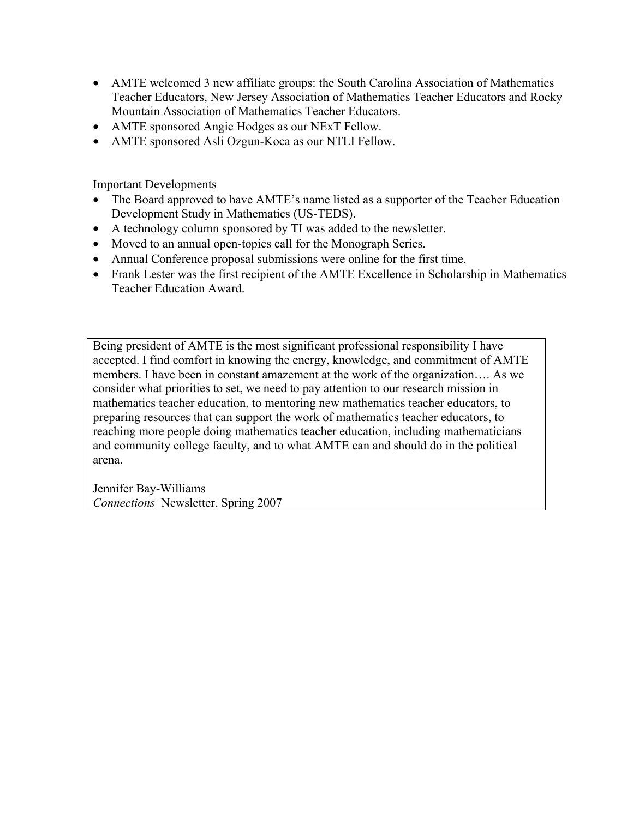- AMTE welcomed 3 new affiliate groups: the South Carolina Association of Mathematics Teacher Educators, New Jersey Association of Mathematics Teacher Educators and Rocky Mountain Association of Mathematics Teacher Educators.
- AMTE sponsored Angie Hodges as our NExT Fellow.
- AMTE sponsored Asli Ozgun-Koca as our NTLI Fellow.

Important Developments

- The Board approved to have AMTE's name listed as a supporter of the Teacher Education Development Study in Mathematics (US-TEDS).
- A technology column sponsored by TI was added to the newsletter.
- Moved to an annual open-topics call for the Monograph Series.
- Annual Conference proposal submissions were online for the first time.
- Frank Lester was the first recipient of the AMTE Excellence in Scholarship in Mathematics Teacher Education Award.

Being president of AMTE is the most significant professional responsibility I have accepted. I find comfort in knowing the energy, knowledge, and commitment of AMTE members. I have been in constant amazement at the work of the organization…. As we consider what priorities to set, we need to pay attention to our research mission in mathematics teacher education, to mentoring new mathematics teacher educators, to preparing resources that can support the work of mathematics teacher educators, to reaching more people doing mathematics teacher education, including mathematicians and community college faculty, and to what AMTE can and should do in the political arena.

Jennifer Bay-Williams *Connections* Newsletter, Spring 2007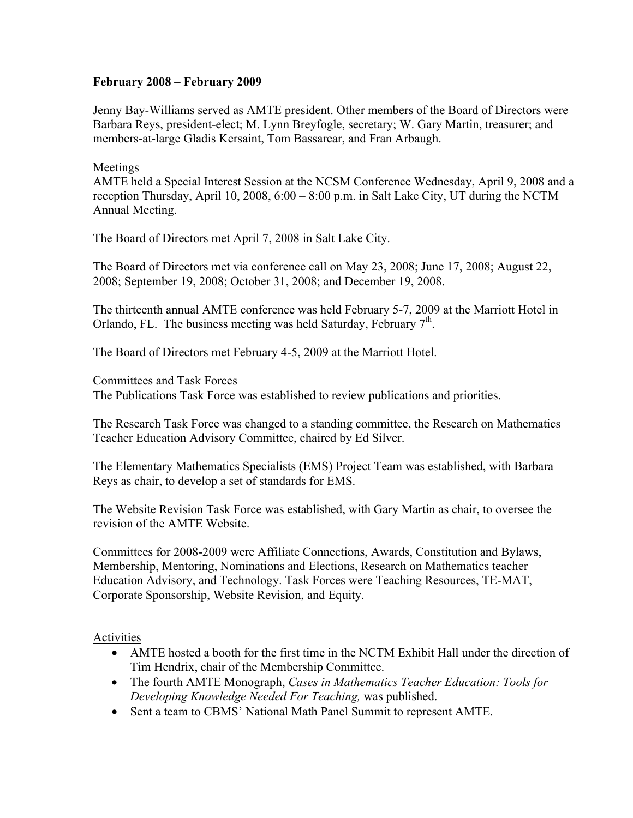# **February 2008 – February 2009**

Jenny Bay-Williams served as AMTE president. Other members of the Board of Directors were Barbara Reys, president-elect; M. Lynn Breyfogle, secretary; W. Gary Martin, treasurer; and members-at-large Gladis Kersaint, Tom Bassarear, and Fran Arbaugh.

#### Meetings

AMTE held a Special Interest Session at the NCSM Conference Wednesday, April 9, 2008 and a reception Thursday, April 10, 2008, 6:00 – 8:00 p.m. in Salt Lake City, UT during the NCTM Annual Meeting.

The Board of Directors met April 7, 2008 in Salt Lake City.

The Board of Directors met via conference call on May 23, 2008; June 17, 2008; August 22, 2008; September 19, 2008; October 31, 2008; and December 19, 2008.

The thirteenth annual AMTE conference was held February 5-7, 2009 at the Marriott Hotel in Orlando, FL. The business meeting was held Saturday, February  $7<sup>th</sup>$ .

The Board of Directors met February 4-5, 2009 at the Marriott Hotel.

#### Committees and Task Forces

The Publications Task Force was established to review publications and priorities.

The Research Task Force was changed to a standing committee, the Research on Mathematics Teacher Education Advisory Committee, chaired by Ed Silver.

The Elementary Mathematics Specialists (EMS) Project Team was established, with Barbara Reys as chair, to develop a set of standards for EMS.

The Website Revision Task Force was established, with Gary Martin as chair, to oversee the revision of the AMTE Website.

Committees for 2008-2009 were Affiliate Connections, Awards, Constitution and Bylaws, Membership, Mentoring, Nominations and Elections, Research on Mathematics teacher Education Advisory, and Technology. Task Forces were Teaching Resources, TE-MAT, Corporate Sponsorship, Website Revision, and Equity.

#### Activities

- AMTE hosted a booth for the first time in the NCTM Exhibit Hall under the direction of Tim Hendrix, chair of the Membership Committee.
- The fourth AMTE Monograph, *Cases in Mathematics Teacher Education: Tools for Developing Knowledge Needed For Teaching,* was published.
- Sent a team to CBMS' National Math Panel Summit to represent AMTE.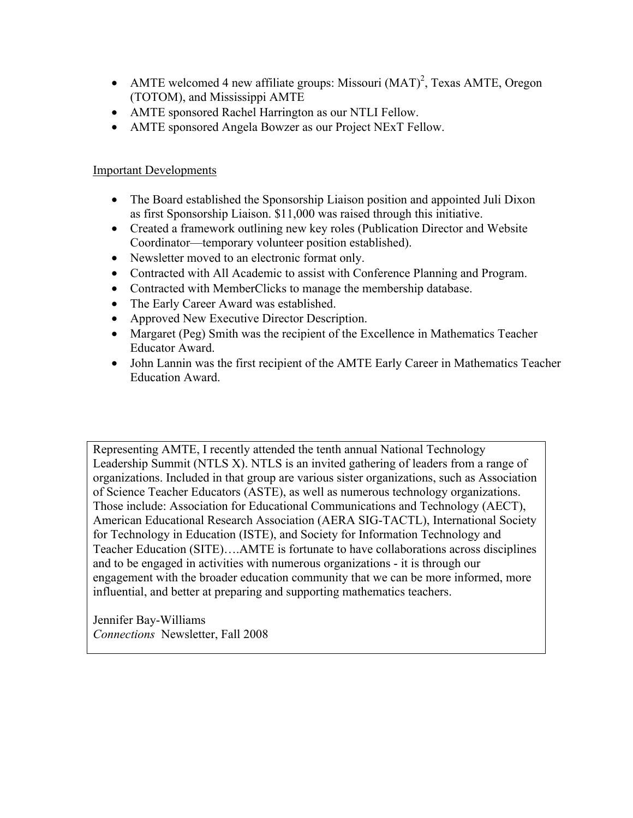- AMTE welcomed 4 new affiliate groups: Missouri  $(MAT)^2$ , Texas AMTE, Oregon (TOTOM), and Mississippi AMTE
- AMTE sponsored Rachel Harrington as our NTLI Fellow.
- AMTE sponsored Angela Bowzer as our Project NExT Fellow.

# Important Developments

- The Board established the Sponsorship Liaison position and appointed Juli Dixon as first Sponsorship Liaison. \$11,000 was raised through this initiative.
- Created a framework outlining new key roles (Publication Director and Website) Coordinator—temporary volunteer position established).
- Newsletter moved to an electronic format only.
- Contracted with All Academic to assist with Conference Planning and Program.
- Contracted with MemberClicks to manage the membership database.
- The Early Career Award was established.
- Approved New Executive Director Description.
- Margaret (Peg) Smith was the recipient of the Excellence in Mathematics Teacher Educator Award.
- John Lannin was the first recipient of the AMTE Early Career in Mathematics Teacher Education Award.

Representing AMTE, I recently attended the tenth annual National Technology Leadership Summit (NTLS X). NTLS is an invited gathering of leaders from a range of organizations. Included in that group are various sister organizations, such as Association of Science Teacher Educators (ASTE), as well as numerous technology organizations. Those include: Association for Educational Communications and Technology (AECT), American Educational Research Association (AERA SIG-TACTL), International Society for Technology in Education (ISTE), and Society for Information Technology and Teacher Education (SITE)….AMTE is fortunate to have collaborations across disciplines and to be engaged in activities with numerous organizations - it is through our engagement with the broader education community that we can be more informed, more influential, and better at preparing and supporting mathematics teachers.

Jennifer Bay-Williams *Connections* Newsletter, Fall 2008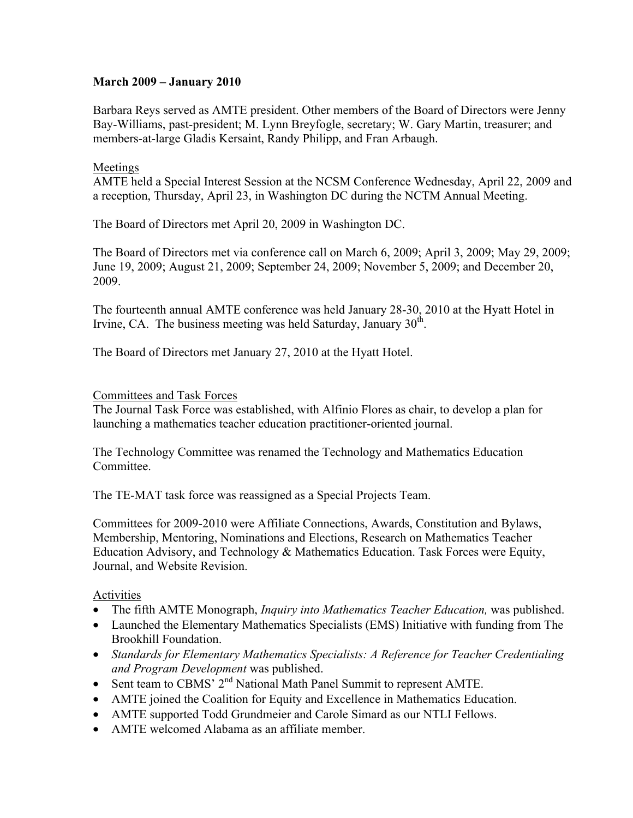# **March 2009 – January 2010**

Barbara Reys served as AMTE president. Other members of the Board of Directors were Jenny Bay-Williams, past-president; M. Lynn Breyfogle, secretary; W. Gary Martin, treasurer; and members-at-large Gladis Kersaint, Randy Philipp, and Fran Arbaugh.

#### Meetings

AMTE held a Special Interest Session at the NCSM Conference Wednesday, April 22, 2009 and a reception, Thursday, April 23, in Washington DC during the NCTM Annual Meeting.

The Board of Directors met April 20, 2009 in Washington DC.

The Board of Directors met via conference call on March 6, 2009; April 3, 2009; May 29, 2009; June 19, 2009; August 21, 2009; September 24, 2009; November 5, 2009; and December 20, 2009.

The fourteenth annual AMTE conference was held January 28-30, 2010 at the Hyatt Hotel in Irvine, CA. The business meeting was held Saturday, January  $30<sup>th</sup>$ .

The Board of Directors met January 27, 2010 at the Hyatt Hotel.

#### Committees and Task Forces

The Journal Task Force was established, with Alfinio Flores as chair, to develop a plan for launching a mathematics teacher education practitioner-oriented journal.

The Technology Committee was renamed the Technology and Mathematics Education Committee.

The TE-MAT task force was reassigned as a Special Projects Team.

Committees for 2009-2010 were Affiliate Connections, Awards, Constitution and Bylaws, Membership, Mentoring, Nominations and Elections, Research on Mathematics Teacher Education Advisory, and Technology & Mathematics Education. Task Forces were Equity, Journal, and Website Revision.

#### Activities

- The fifth AMTE Monograph, *Inquiry into Mathematics Teacher Education*, was published.
- Launched the Elementary Mathematics Specialists (EMS) Initiative with funding from The Brookhill Foundation.
- *Standards for Elementary Mathematics Specialists: A Reference for Teacher Credentialing and Program Development* was published.
- Sent team to CBMS' 2<sup>nd</sup> National Math Panel Summit to represent AMTE.
- AMTE joined the Coalition for Equity and Excellence in Mathematics Education.
- AMTE supported Todd Grundmeier and Carole Simard as our NTLI Fellows.
- AMTE welcomed Alabama as an affiliate member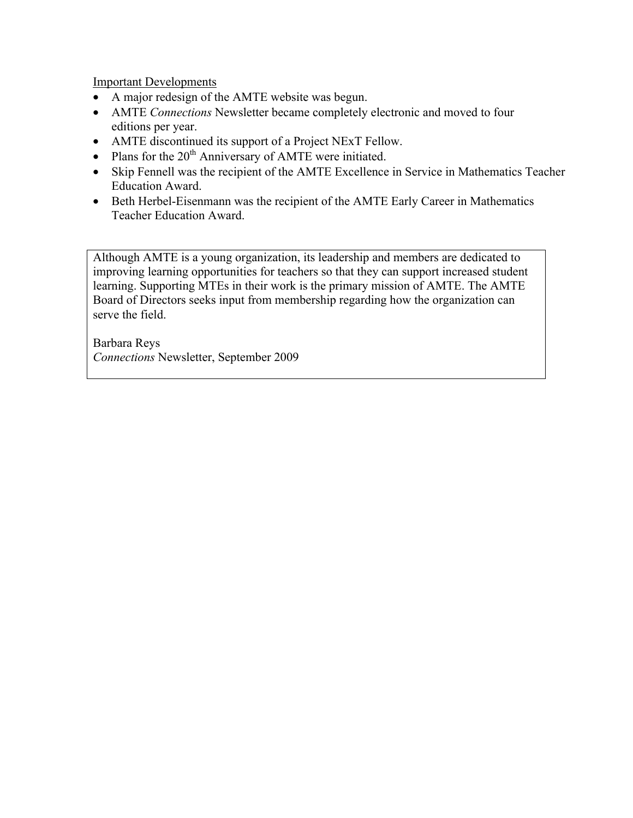Important Developments

- A major redesign of the AMTE website was begun.
- AMTE *Connections* Newsletter became completely electronic and moved to four editions per year.
- AMTE discontinued its support of a Project NExT Fellow.
- Plans for the  $20<sup>th</sup>$  Anniversary of AMTE were initiated.
- Skip Fennell was the recipient of the AMTE Excellence in Service in Mathematics Teacher Education Award.
- Beth Herbel-Eisenmann was the recipient of the AMTE Early Career in Mathematics Teacher Education Award.

Although AMTE is a young organization, its leadership and members are dedicated to improving learning opportunities for teachers so that they can support increased student learning. Supporting MTEs in their work is the primary mission of AMTE. The AMTE Board of Directors seeks input from membership regarding how the organization can serve the field.

Barbara Reys *Connections* Newsletter, September 2009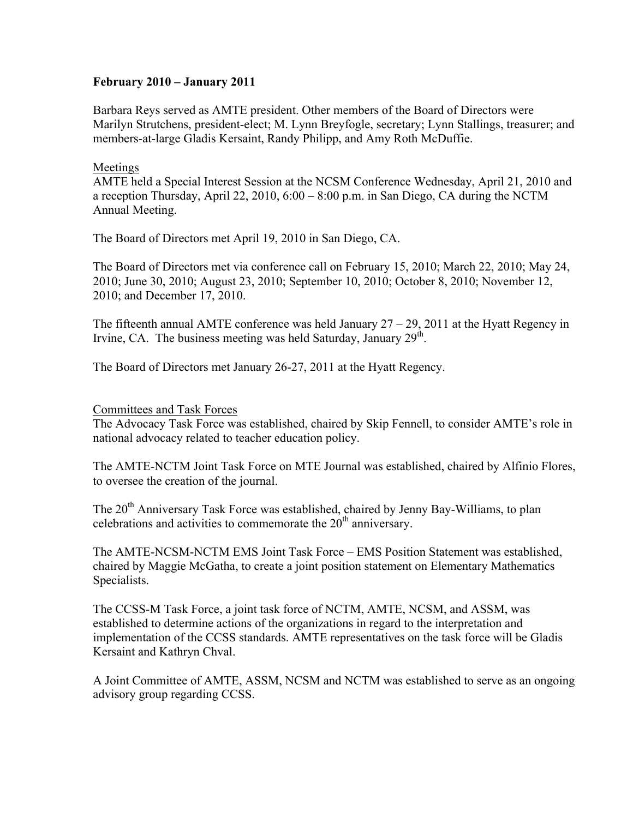# **February 2010 – January 2011**

Barbara Reys served as AMTE president. Other members of the Board of Directors were Marilyn Strutchens, president-elect; M. Lynn Breyfogle, secretary; Lynn Stallings, treasurer; and members-at-large Gladis Kersaint, Randy Philipp, and Amy Roth McDuffie.

#### Meetings

AMTE held a Special Interest Session at the NCSM Conference Wednesday, April 21, 2010 and a reception Thursday, April 22, 2010,  $6:00 - 8:00$  p.m. in San Diego, CA during the NCTM Annual Meeting.

The Board of Directors met April 19, 2010 in San Diego, CA.

The Board of Directors met via conference call on February 15, 2010; March 22, 2010; May 24, 2010; June 30, 2010; August 23, 2010; September 10, 2010; October 8, 2010; November 12, 2010; and December 17, 2010.

The fifteenth annual AMTE conference was held January  $27 - 29$ , 2011 at the Hyatt Regency in Irvine, CA. The business meeting was held Saturday, January  $29<sup>th</sup>$ .

The Board of Directors met January 26-27, 2011 at the Hyatt Regency.

Committees and Task Forces

The Advocacy Task Force was established, chaired by Skip Fennell, to consider AMTE's role in national advocacy related to teacher education policy.

The AMTE-NCTM Joint Task Force on MTE Journal was established, chaired by Alfinio Flores, to oversee the creation of the journal.

The 20<sup>th</sup> Anniversary Task Force was established, chaired by Jenny Bay-Williams, to plan celebrations and activities to commemorate the  $20<sup>th</sup>$  anniversary.

The AMTE-NCSM-NCTM EMS Joint Task Force – EMS Position Statement was established, chaired by Maggie McGatha, to create a joint position statement on Elementary Mathematics Specialists.

The CCSS-M Task Force, a joint task force of NCTM, AMTE, NCSM, and ASSM, was established to determine actions of the organizations in regard to the interpretation and implementation of the CCSS standards. AMTE representatives on the task force will be Gladis Kersaint and Kathryn Chval.

A Joint Committee of AMTE, ASSM, NCSM and NCTM was established to serve as an ongoing advisory group regarding CCSS.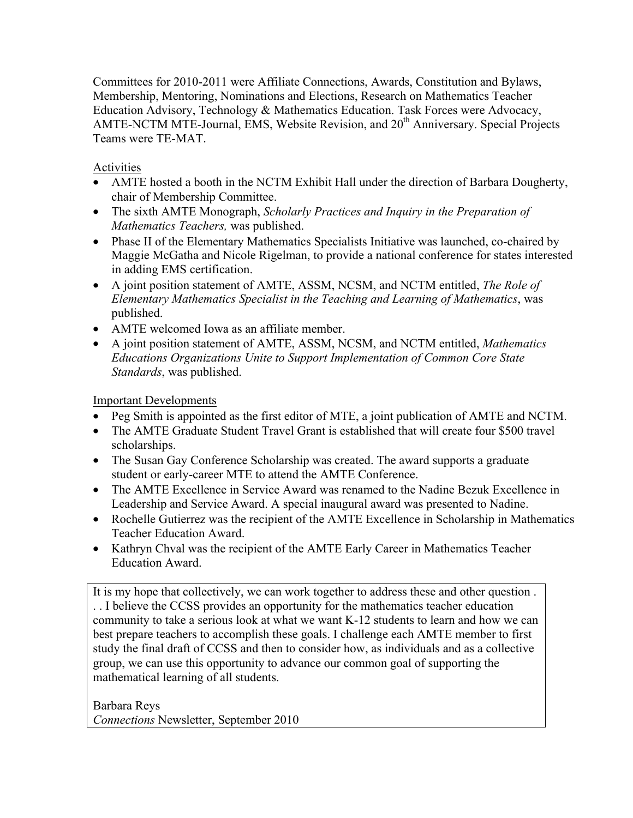Committees for 2010-2011 were Affiliate Connections, Awards, Constitution and Bylaws, Membership, Mentoring, Nominations and Elections, Research on Mathematics Teacher Education Advisory, Technology & Mathematics Education. Task Forces were Advocacy, AMTE-NCTM MTE-Journal, EMS, Website Revision, and  $20<sup>th</sup>$  Anniversary. Special Projects Teams were TE-MAT.

# Activities

- AMTE hosted a booth in the NCTM Exhibit Hall under the direction of Barbara Dougherty, chair of Membership Committee.
- The sixth AMTE Monograph, *Scholarly Practices and Inquiry in the Preparation of Mathematics Teachers,* was published.
- Phase II of the Elementary Mathematics Specialists Initiative was launched, co-chaired by Maggie McGatha and Nicole Rigelman, to provide a national conference for states interested in adding EMS certification.
- A joint position statement of AMTE, ASSM, NCSM, and NCTM entitled, *The Role of Elementary Mathematics Specialist in the Teaching and Learning of Mathematics*, was published.
- AMTE welcomed Iowa as an affiliate member.
- A joint position statement of AMTE, ASSM, NCSM, and NCTM entitled, *Mathematics Educations Organizations Unite to Support Implementation of Common Core State Standards*, was published.

# Important Developments

- Peg Smith is appointed as the first editor of MTE, a joint publication of AMTE and NCTM.
- The AMTE Graduate Student Travel Grant is established that will create four \$500 travel scholarships.
- The Susan Gay Conference Scholarship was created. The award supports a graduate student or early-career MTE to attend the AMTE Conference.
- The AMTE Excellence in Service Award was renamed to the Nadine Bezuk Excellence in Leadership and Service Award. A special inaugural award was presented to Nadine.
- Rochelle Gutierrez was the recipient of the AMTE Excellence in Scholarship in Mathematics Teacher Education Award.
- Kathryn Chval was the recipient of the AMTE Early Career in Mathematics Teacher Education Award.

It is my hope that collectively, we can work together to address these and other question . . . I believe the CCSS provides an opportunity for the mathematics teacher education community to take a serious look at what we want K-12 students to learn and how we can best prepare teachers to accomplish these goals. I challenge each AMTE member to first study the final draft of CCSS and then to consider how, as individuals and as a collective group, we can use this opportunity to advance our common goal of supporting the mathematical learning of all students.

Barbara Reys *Connections* Newsletter, September 2010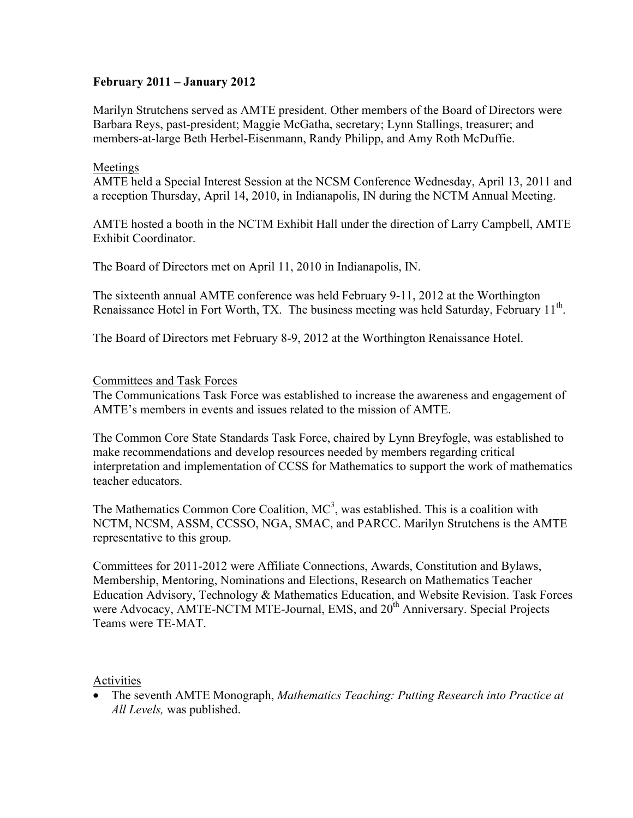# **February 2011 – January 2012**

Marilyn Strutchens served as AMTE president. Other members of the Board of Directors were Barbara Reys, past-president; Maggie McGatha, secretary; Lynn Stallings, treasurer; and members-at-large Beth Herbel-Eisenmann, Randy Philipp, and Amy Roth McDuffie.

#### Meetings

AMTE held a Special Interest Session at the NCSM Conference Wednesday, April 13, 2011 and a reception Thursday, April 14, 2010, in Indianapolis, IN during the NCTM Annual Meeting.

AMTE hosted a booth in the NCTM Exhibit Hall under the direction of Larry Campbell, AMTE Exhibit Coordinator.

The Board of Directors met on April 11, 2010 in Indianapolis, IN.

The sixteenth annual AMTE conference was held February 9-11, 2012 at the Worthington Renaissance Hotel in Fort Worth, TX. The business meeting was held Saturday, February 11<sup>th</sup>.

The Board of Directors met February 8-9, 2012 at the Worthington Renaissance Hotel.

#### Committees and Task Forces

The Communications Task Force was established to increase the awareness and engagement of AMTE's members in events and issues related to the mission of AMTE.

The Common Core State Standards Task Force, chaired by Lynn Breyfogle, was established to make recommendations and develop resources needed by members regarding critical interpretation and implementation of CCSS for Mathematics to support the work of mathematics teacher educators.

The Mathematics Common Core Coalition,  $MC<sup>3</sup>$ , was established. This is a coalition with NCTM, NCSM, ASSM, CCSSO, NGA, SMAC, and PARCC. Marilyn Strutchens is the AMTE representative to this group.

Committees for 2011-2012 were Affiliate Connections, Awards, Constitution and Bylaws, Membership, Mentoring, Nominations and Elections, Research on Mathematics Teacher Education Advisory, Technology & Mathematics Education, and Website Revision. Task Forces were Advocacy, AMTE-NCTM MTE-Journal, EMS, and 20<sup>th</sup> Anniversary. Special Projects Teams were TE-MAT.

#### Activities

• The seventh AMTE Monograph, *Mathematics Teaching: Putting Research into Practice at All Levels,* was published.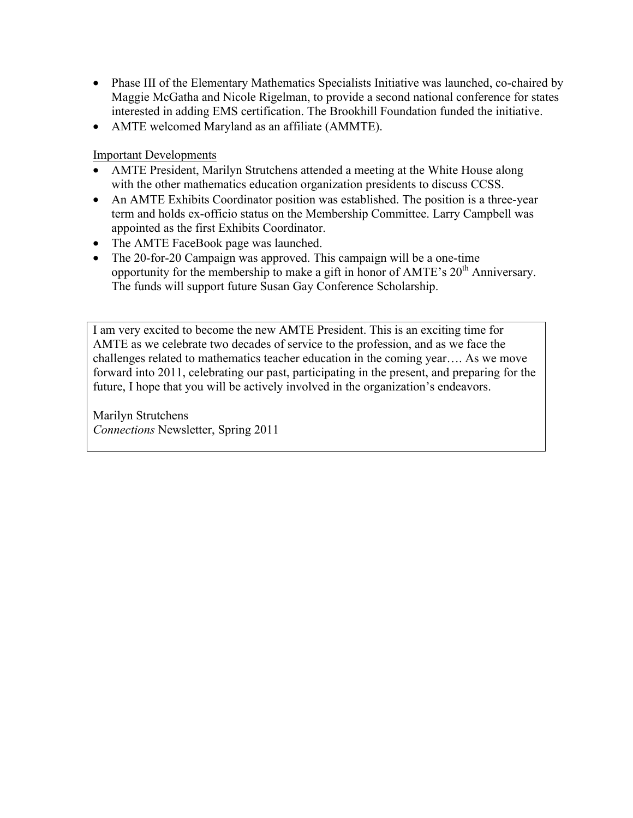- Phase III of the Elementary Mathematics Specialists Initiative was launched, co-chaired by Maggie McGatha and Nicole Rigelman, to provide a second national conference for states interested in adding EMS certification. The Brookhill Foundation funded the initiative.
- AMTE welcomed Maryland as an affiliate (AMMTE).

Important Developments

- AMTE President, Marilyn Strutchens attended a meeting at the White House along with the other mathematics education organization presidents to discuss CCSS.
- An AMTE Exhibits Coordinator position was established. The position is a three-year term and holds ex-officio status on the Membership Committee. Larry Campbell was appointed as the first Exhibits Coordinator.
- The AMTE FaceBook page was launched.
- The 20-for-20 Campaign was approved. This campaign will be a one-time opportunity for the membership to make a gift in honor of AMTE's  $20<sup>th</sup>$  Anniversary. The funds will support future Susan Gay Conference Scholarship.

I am very excited to become the new AMTE President. This is an exciting time for AMTE as we celebrate two decades of service to the profession, and as we face the challenges related to mathematics teacher education in the coming year…. As we move forward into 2011, celebrating our past, participating in the present, and preparing for the future, I hope that you will be actively involved in the organization's endeavors.

Marilyn Strutchens *Connections* Newsletter, Spring 2011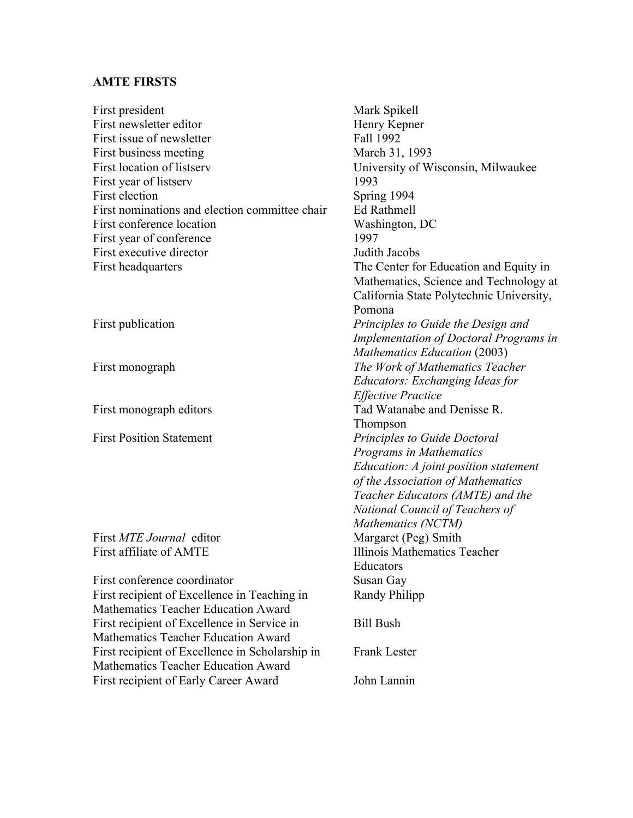#### **AMTE FIRSTS**

First president Mark Spikell First newsletter editor Henry Kepner First issue of newsletter Fall 1992 First business meeting March 31, 1993 First location of listserv University of Wisconsin, Milwaukee First year of listserv 1993 First election Spring 1994 First nominations and election committee chair Ed Rathmell First conference location Washington, DC First year of conference 1997 First executive director **I**udith Jacobs First headquarters The Center for Education and Equity in Pomona First publication *Principles to Guide the Design and*  First monograph *The Work of Mathematics Teacher*  First monograph editors Tad Watanabe and Denisse R. **Thompson** First Position Statement *Principles to Guide Doctoral*  First *MTE Journal* editor Margaret (Peg) Smith First affiliate of AMTE **Illinois Mathematics Teacher** Educators First conference coordinator Susan Gay First recipient of Excellence in Teaching in Randy Philipp Mathematics Teacher Education Award First recipient of Excellence in Service in Bill Bush Mathematics Teacher Education Award First recipient of Excellence in Scholarship in Frank Lester Mathematics Teacher Education Award First recipient of Early Career Award John Lannin

Mathematics, Science and Technology at California State Polytechnic University, *Implementation of Doctoral Programs in Mathematics Education* (2003) *Educators: Exchanging Ideas for Effective Practice Programs in Mathematics Education: A joint position statement of the Association of Mathematics Teacher Educators (AMTE) and the National Council of Teachers of Mathematics (NCTM)*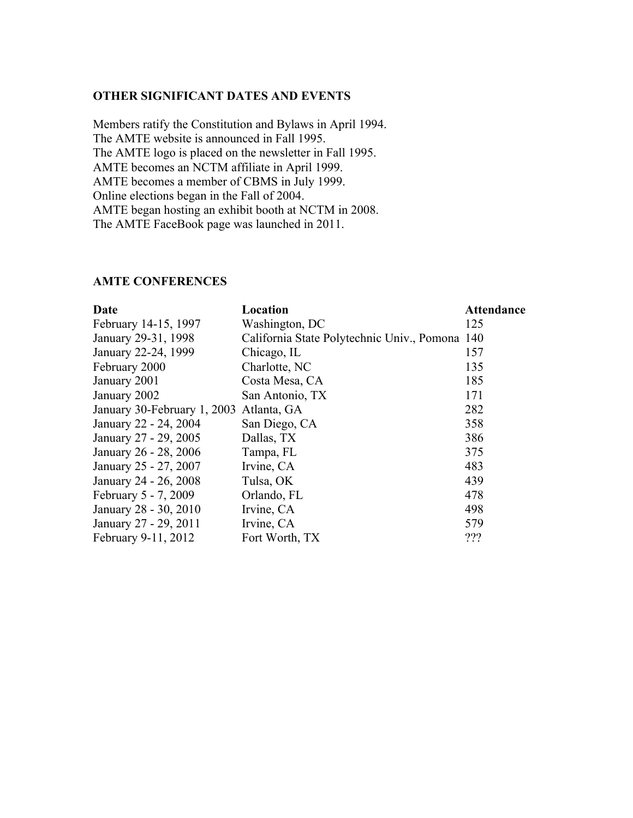#### **OTHER SIGNIFICANT DATES AND EVENTS**

Members ratify the Constitution and Bylaws in April 1994. The AMTE website is announced in Fall 1995. The AMTE logo is placed on the newsletter in Fall 1995. AMTE becomes an NCTM affiliate in April 1999. AMTE becomes a member of CBMS in July 1999. Online elections began in the Fall of 2004. AMTE began hosting an exhibit booth at NCTM in 2008. The AMTE FaceBook page was launched in 2011.

#### **AMTE CONFERENCES**

| Date                                    | Location                                       | <b>Attendance</b> |
|-----------------------------------------|------------------------------------------------|-------------------|
| February 14-15, 1997                    | Washington, DC                                 | 125               |
| January 29-31, 1998                     | California State Polytechnic Univ., Pomona 140 |                   |
| January 22-24, 1999                     | Chicago, IL                                    | 157               |
| February 2000                           | Charlotte, NC                                  | 135               |
| January 2001                            | Costa Mesa, CA                                 | 185               |
| January 2002                            | San Antonio, TX                                | 171               |
| January 30-February 1, 2003 Atlanta, GA |                                                | 282               |
| January 22 - 24, 2004                   | San Diego, CA                                  | 358               |
| January 27 - 29, 2005                   | Dallas, TX                                     | 386               |
| January 26 - 28, 2006                   | Tampa, FL                                      | 375               |
| January 25 - 27, 2007                   | Irvine, CA                                     | 483               |
| January 24 - 26, 2008                   | Tulsa, OK                                      | 439               |
| February 5 - 7, 2009                    | Orlando, FL                                    | 478               |
| January 28 - 30, 2010                   | Irvine, CA                                     | 498               |
| January 27 - 29, 2011                   | Irvine, CA                                     | 579               |
| February 9-11, 2012                     | Fort Worth, TX                                 | ???               |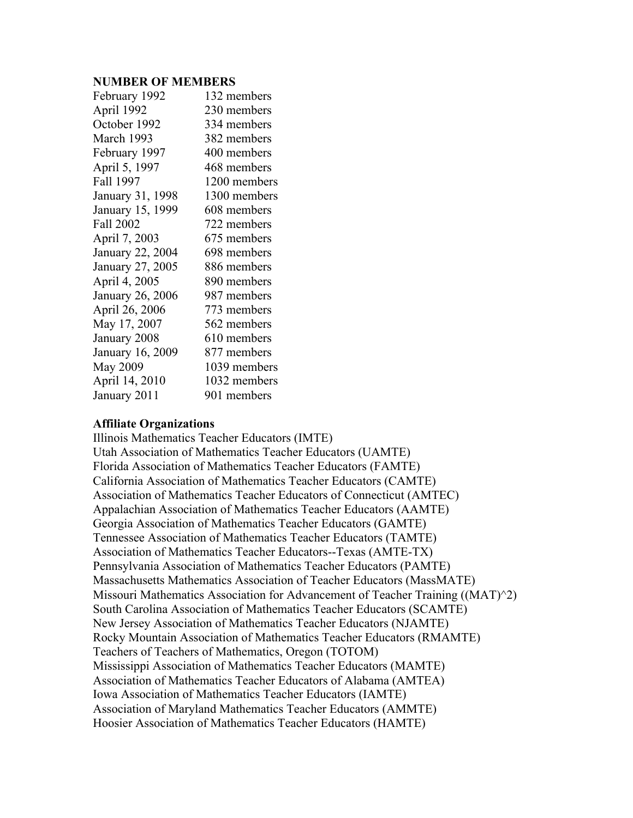#### **NUMBER OF MEMBERS**

| February 1992    | 132 members  |
|------------------|--------------|
| April 1992       | 230 members  |
| October 1992     | 334 members  |
| March 1993       | 382 members  |
| February 1997    | 400 members  |
| April 5, 1997    | 468 members  |
| Fall 1997        | 1200 members |
| January 31, 1998 | 1300 members |
| January 15, 1999 | 608 members  |
| Fall 2002        | 722 members  |
| April 7, 2003    | 675 members  |
| January 22, 2004 | 698 members  |
| January 27, 2005 | 886 members  |
| April 4, 2005    | 890 members  |
| January 26, 2006 | 987 members  |
| April 26, 2006   | 773 members  |
| May 17, 2007     | 562 members  |
| January 2008     | 610 members  |
| January 16, 2009 | 877 members  |
| May 2009         | 1039 members |
| April 14, 2010   | 1032 members |
| January 2011     | 901 members  |

#### **Affiliate Organizations**

Illinois Mathematics Teacher Educators (IMTE) Utah Association of Mathematics Teacher Educators (UAMTE) Florida Association of Mathematics Teacher Educators (FAMTE) California Association of Mathematics Teacher Educators (CAMTE) Association of Mathematics Teacher Educators of Connecticut (AMTEC) Appalachian Association of Mathematics Teacher Educators (AAMTE) Georgia Association of Mathematics Teacher Educators (GAMTE) Tennessee Association of Mathematics Teacher Educators (TAMTE) Association of Mathematics Teacher Educators--Texas (AMTE-TX) Pennsylvania Association of Mathematics Teacher Educators (PAMTE) Massachusetts Mathematics Association of Teacher Educators (MassMATE) Missouri Mathematics Association for Advancement of Teacher Training ((MAT)^2) South Carolina Association of Mathematics Teacher Educators (SCAMTE) New Jersey Association of Mathematics Teacher Educators (NJAMTE) Rocky Mountain Association of Mathematics Teacher Educators (RMAMTE) Teachers of Teachers of Mathematics, Oregon (TOTOM) Mississippi Association of Mathematics Teacher Educators (MAMTE) Association of Mathematics Teacher Educators of Alabama (AMTEA) Iowa Association of Mathematics Teacher Educators (IAMTE) Association of Maryland Mathematics Teacher Educators (AMMTE) Hoosier Association of Mathematics Teacher Educators (HAMTE)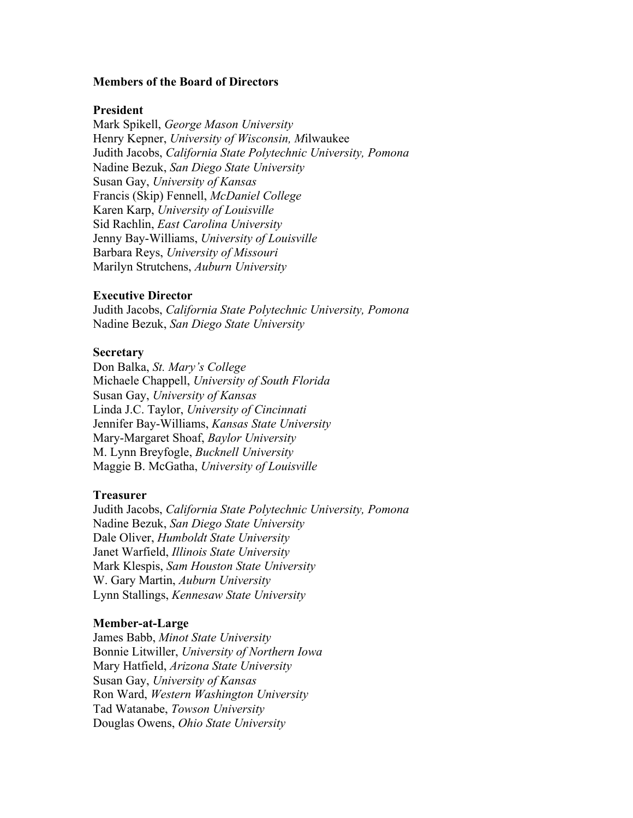#### **Members of the Board of Directors**

#### **President**

Mark Spikell, *George Mason University* Henry Kepner, *University of Wisconsin, M*ilwaukee Judith Jacobs, *California State Polytechnic University, Pomona* Nadine Bezuk, *San Diego State University* Susan Gay, *University of Kansas* Francis (Skip) Fennell, *McDaniel College* Karen Karp, *University of Louisville* Sid Rachlin, *East Carolina University* Jenny Bay-Williams, *University of Louisville* Barbara Reys, *University of Missouri* Marilyn Strutchens, *Auburn University*

#### **Executive Director**

Judith Jacobs, *California State Polytechnic University, Pomona* Nadine Bezuk, *San Diego State University*

#### **Secretary**

Don Balka, *St. Mary's College* Michaele Chappell, *University of South Florida* Susan Gay, *University of Kansas* Linda J.C. Taylor, *University of Cincinnati* Jennifer Bay-Williams, *Kansas State University* Mary-Margaret Shoaf, *Baylor University* M. Lynn Breyfogle, *Bucknell University* Maggie B. McGatha, *University of Louisville*

#### **Treasurer**

Judith Jacobs, *California State Polytechnic University, Pomona* Nadine Bezuk, *San Diego State University* Dale Oliver, *Humboldt State University* Janet Warfield, *Illinois State University* Mark Klespis, *Sam Houston State University* W. Gary Martin, *Auburn University* Lynn Stallings, *Kennesaw State University*

#### **Member-at-Large**

James Babb, *Minot State University* Bonnie Litwiller, *University of Northern Iowa* Mary Hatfield, *Arizona State University* Susan Gay, *University of Kansas* Ron Ward, *Western Washington University* Tad Watanabe, *Towson University* Douglas Owens, *Ohio State University*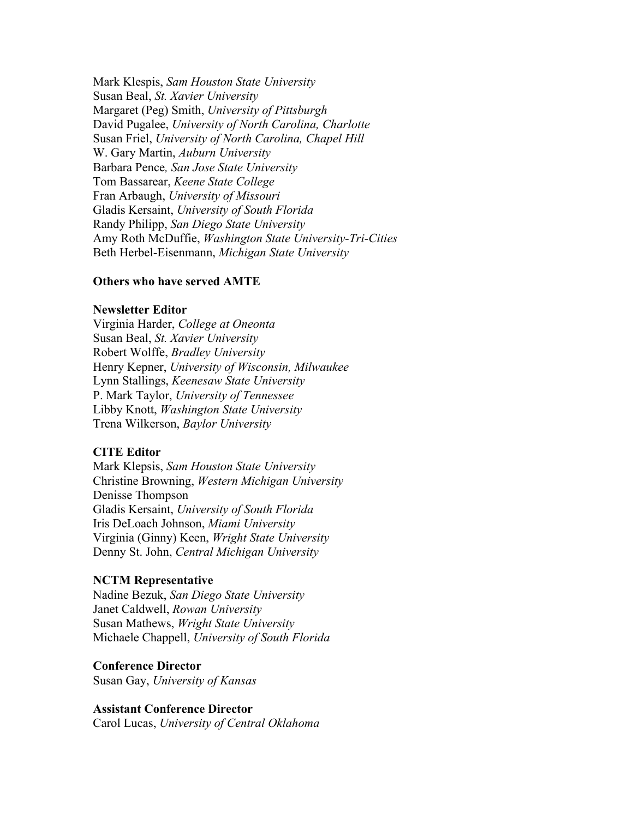Mark Klespis, *Sam Houston State University* Susan Beal, *St. Xavier University* Margaret (Peg) Smith, *University of Pittsburgh* David Pugalee, *University of North Carolina, Charlotte* Susan Friel, *University of North Carolina, Chapel Hill* W. Gary Martin, *Auburn University* Barbara Pence*, San Jose State University* Tom Bassarear, *Keene State College* Fran Arbaugh, *University of Missouri* Gladis Kersaint, *University of South Florida* Randy Philipp, *San Diego State University* Amy Roth McDuffie, *Washington State University-Tri-Cities* Beth Herbel-Eisenmann, *Michigan State University*

#### **Others who have served AMTE**

#### **Newsletter Editor**

Virginia Harder, *College at Oneonta*  Susan Beal, *St. Xavier University* Robert Wolffe, *Bradley University* Henry Kepner, *University of Wisconsin, Milwaukee* Lynn Stallings, *Keenesaw State University* P. Mark Taylor, *University of Tennessee* Libby Knott, *Washington State University* Trena Wilkerson, *Baylor University*

#### **CITE Editor**

Mark Klepsis, *Sam Houston State University* Christine Browning, *Western Michigan University* Denisse Thompson Gladis Kersaint, *University of South Florida* Iris DeLoach Johnson, *Miami University* Virginia (Ginny) Keen, *Wright State University* Denny St. John, *Central Michigan University*

#### **NCTM Representative**

Nadine Bezuk, *San Diego State University* Janet Caldwell, *Rowan University* Susan Mathews, *Wright State University* Michaele Chappell, *University of South Florida*

#### **Conference Director**

Susan Gay, *University of Kansas*

#### **Assistant Conference Director**

Carol Lucas, *University of Central Oklahoma*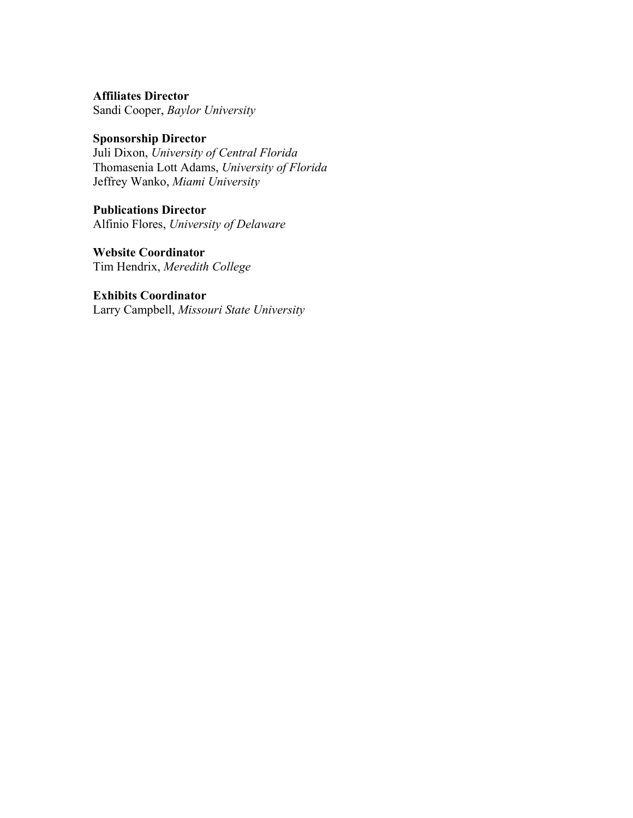**Affiliates Director** Sandi Cooper, *Baylor University*

# **Sponsorship Director**

Juli Dixon, *University of Central Florida* Thomasenia Lott Adams, *University of Florida* Jeffrey Wanko, *Miami University*

# **Publications Director**

Alfinio Flores, *University of Delaware*

# **Website Coordinator**

Tim Hendrix, *Meredith College*

# **Exhibits Coordinator**

Larry Campbell, *Missouri State University*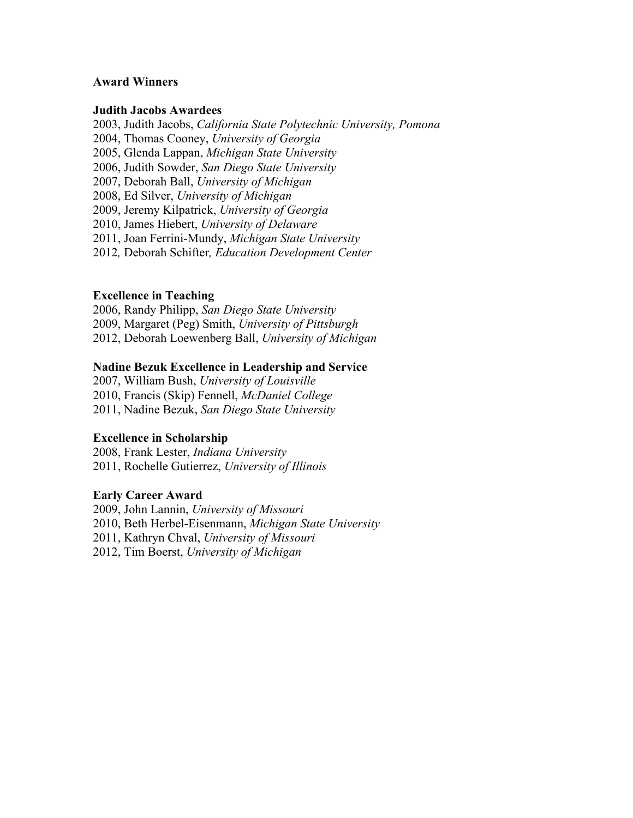#### **Award Winners**

#### **Judith Jacobs Awardees**

2003, Judith Jacobs, *California State Polytechnic University, Pomona* 2004, Thomas Cooney, *University of Georgia* 2005, Glenda Lappan, *Michigan State University* 2006, Judith Sowder, *San Diego State University* 2007, Deborah Ball, *University of Michigan* 2008, Ed Silver, *University of Michigan* 2009, Jeremy Kilpatrick, *University of Georgia* 2010, James Hiebert, *University of Delaware* 2011, Joan Ferrini-Mundy, *Michigan State University* 2012*,* Deborah Schifter*, Education Development Center*

# **Excellence in Teaching**

2006, Randy Philipp, *San Diego State University* 2009, Margaret (Peg) Smith, *University of Pittsburgh* 2012, Deborah Loewenberg Ball, *University of Michigan*

#### **Nadine Bezuk Excellence in Leadership and Service**

2007, William Bush, *University of Louisville* 2010, Francis (Skip) Fennell, *McDaniel College* 2011, Nadine Bezuk, *San Diego State University*

# **Excellence in Scholarship**

2008, Frank Lester, *Indiana University* 2011, Rochelle Gutierrez, *University of Illinois*

#### **Early Career Award**

2009, John Lannin, *University of Missouri* 2010, Beth Herbel-Eisenmann, *Michigan State University* 2011, Kathryn Chval, *University of Missouri* 2012, Tim Boerst, *University of Michigan*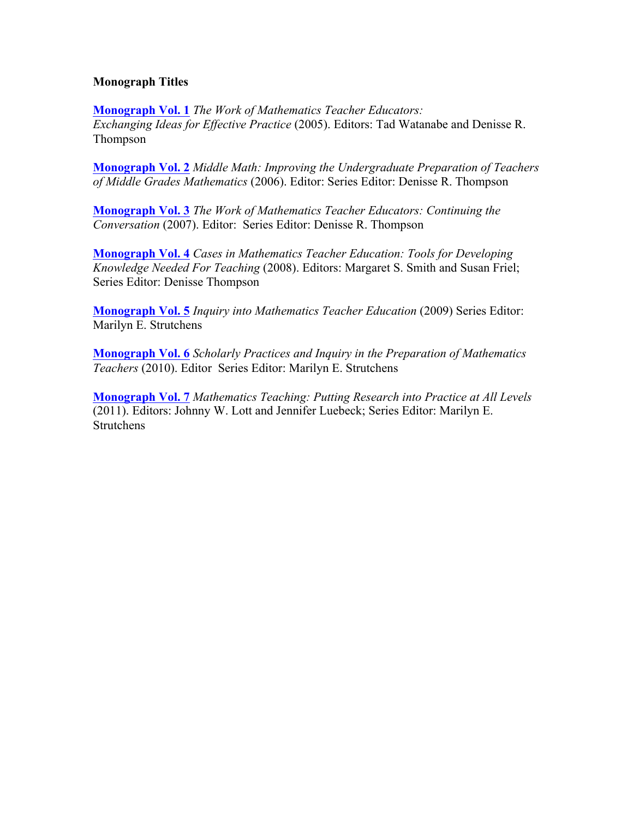# **Monograph Titles**

**Monograph Vol. 1** *The Work of Mathematics Teacher Educators: Exchanging Ideas for Effective Practice* (2005). Editors: Tad Watanabe and Denisse R. Thompson

**Monograph Vol. 2** *Middle Math: Improving the Undergraduate Preparation of Teachers of Middle Grades Mathematics* (2006). Editor: Series Editor: Denisse R. Thompson

**Monograph Vol. 3** *The Work of Mathematics Teacher Educators: Continuing the Conversation* (2007). Editor: Series Editor: Denisse R. Thompson

**Monograph Vol. 4** *Cases in Mathematics Teacher Education: Tools for Developing Knowledge Needed For Teaching* (2008). Editors: Margaret S. Smith and Susan Friel; Series Editor: Denisse Thompson

**Monograph Vol. 5** *Inquiry into Mathematics Teacher Education* (2009) Series Editor: Marilyn E. Strutchens

**Monograph Vol. 6** *Scholarly Practices and Inquiry in the Preparation of Mathematics Teachers* (2010). Editor Series Editor: Marilyn E. Strutchens

**Monograph Vol. 7** *Mathematics Teaching: Putting Research into Practice at All Levels* (2011). Editors: Johnny W. Lott and Jennifer Luebeck; Series Editor: Marilyn E. Strutchens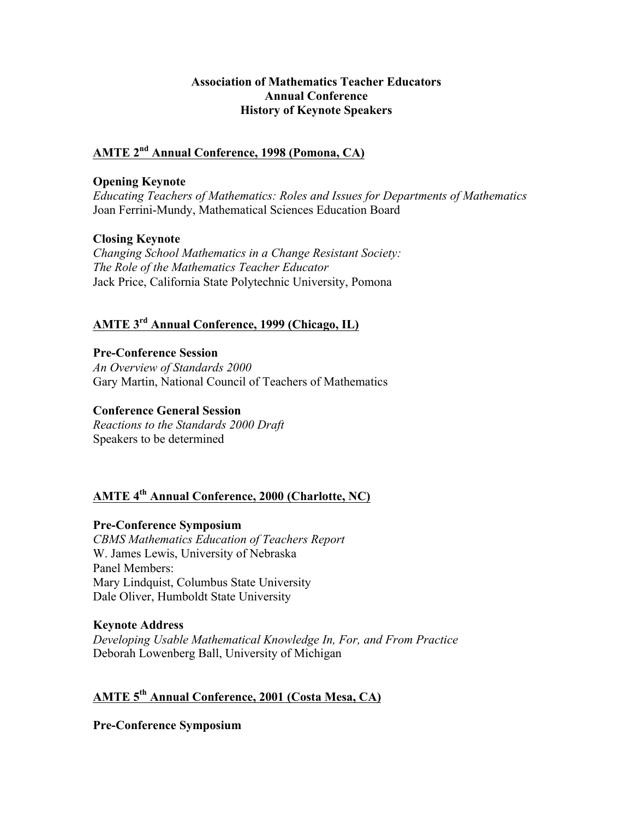# **Association of Mathematics Teacher Educators Annual Conference History of Keynote Speakers**

# **AMTE 2nd Annual Conference, 1998 (Pomona, CA)**

# **Opening Keynote**

*Educating Teachers of Mathematics: Roles and Issues for Departments of Mathematics* Joan Ferrini-Mundy, Mathematical Sciences Education Board

#### **Closing Keynote**

*Changing School Mathematics in a Change Resistant Society: The Role of the Mathematics Teacher Educator* Jack Price, California State Polytechnic University, Pomona

# **AMTE 3rd Annual Conference, 1999 (Chicago, IL)**

**Pre-Conference Session** *An Overview of Standards 2000* Gary Martin, National Council of Teachers of Mathematics

# **Conference General Session**

*Reactions to the Standards 2000 Draft* Speakers to be determined

# **AMTE 4th Annual Conference, 2000 (Charlotte, NC)**

# **Pre-Conference Symposium**

*CBMS Mathematics Education of Teachers Report* W. James Lewis, University of Nebraska Panel Members: Mary Lindquist, Columbus State University Dale Oliver, Humboldt State University

#### **Keynote Address**

*Developing Usable Mathematical Knowledge In, For, and From Practice* Deborah Lowenberg Ball, University of Michigan

# **AMTE 5th Annual Conference, 2001 (Costa Mesa, CA)**

**Pre-Conference Symposium**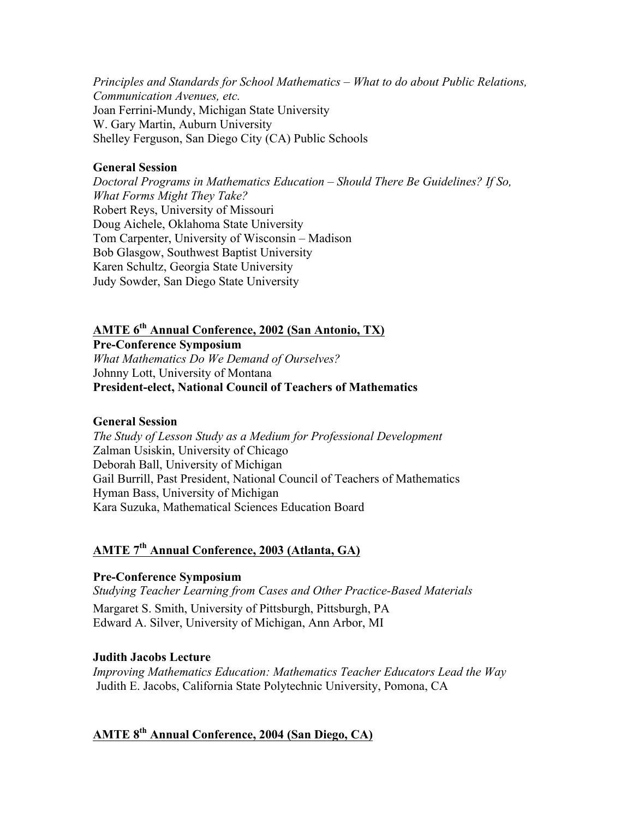*Principles and Standards for School Mathematics – What to do about Public Relations, Communication Avenues, etc.* Joan Ferrini-Mundy, Michigan State University W. Gary Martin, Auburn University Shelley Ferguson, San Diego City (CA) Public Schools

# **General Session**

*Doctoral Programs in Mathematics Education – Should There Be Guidelines? If So, What Forms Might They Take?* Robert Reys, University of Missouri Doug Aichele, Oklahoma State University Tom Carpenter, University of Wisconsin – Madison Bob Glasgow, Southwest Baptist University Karen Schultz, Georgia State University Judy Sowder, San Diego State University

# **AMTE 6th Annual Conference, 2002 (San Antonio, TX)**

**Pre-Conference Symposium**

*What Mathematics Do We Demand of Ourselves?* Johnny Lott, University of Montana **President-elect, National Council of Teachers of Mathematics**

#### **General Session**

*The Study of Lesson Study as a Medium for Professional Development* Zalman Usiskin, University of Chicago Deborah Ball, University of Michigan Gail Burrill, Past President, National Council of Teachers of Mathematics Hyman Bass, University of Michigan Kara Suzuka, Mathematical Sciences Education Board

# **AMTE 7th Annual Conference, 2003 (Atlanta, GA)**

# **Pre-Conference Symposium**

*Studying Teacher Learning from Cases and Other Practice-Based Materials* Margaret S. Smith, University of Pittsburgh, Pittsburgh, PA Edward A. Silver, University of Michigan, Ann Arbor, MI

# **Judith Jacobs Lecture**

*Improving Mathematics Education: Mathematics Teacher Educators Lead the Way* Judith E. Jacobs, California State Polytechnic University, Pomona, CA

# **AMTE 8th Annual Conference, 2004 (San Diego, CA)**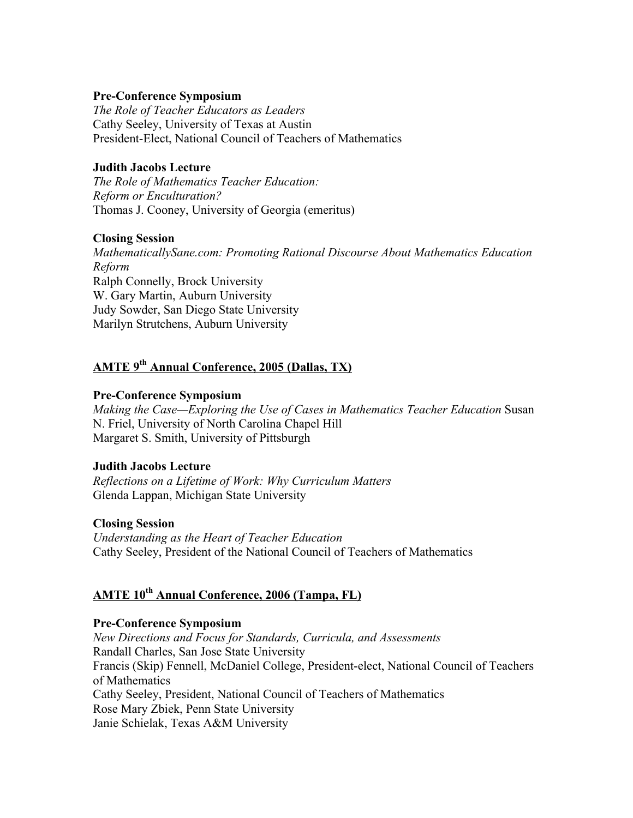# **Pre-Conference Symposium**

*The Role of Teacher Educators as Leaders* Cathy Seeley, University of Texas at Austin President-Elect, National Council of Teachers of Mathematics

# **Judith Jacobs Lecture**

*The Role of Mathematics Teacher Education: Reform or Enculturation?* Thomas J. Cooney, University of Georgia (emeritus)

#### **Closing Session**

*MathematicallySane.com: Promoting Rational Discourse About Mathematics Education Reform* Ralph Connelly, Brock University W. Gary Martin, Auburn University Judy Sowder, San Diego State University Marilyn Strutchens, Auburn University

# **AMTE 9th Annual Conference, 2005 (Dallas, TX)**

# **Pre-Conference Symposium**

*Making the Case—Exploring the Use of Cases in Mathematics Teacher Education Susan* N. Friel, University of North Carolina Chapel Hill Margaret S. Smith, University of Pittsburgh

# **Judith Jacobs Lecture**

*Reflections on a Lifetime of Work: Why Curriculum Matters*  Glenda Lappan, Michigan State University

#### **Closing Session**

*Understanding as the Heart of Teacher Education*  Cathy Seeley, President of the National Council of Teachers of Mathematics

# **AMTE 10th Annual Conference, 2006 (Tampa, FL)**

#### **Pre-Conference Symposium**

*New Directions and Focus for Standards, Curricula, and Assessments* Randall Charles, San Jose State University Francis (Skip) Fennell, McDaniel College, President-elect, National Council of Teachers of Mathematics Cathy Seeley, President, National Council of Teachers of Mathematics Rose Mary Zbiek, Penn State University Janie Schielak, Texas A&M University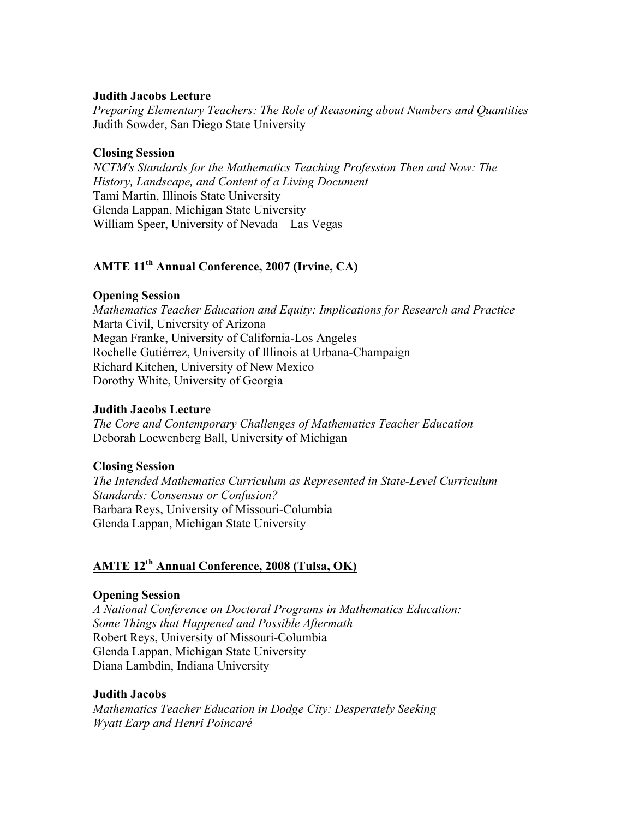# **Judith Jacobs Lecture**

*Preparing Elementary Teachers: The Role of Reasoning about Numbers and Quantities* Judith Sowder, San Diego State University

# **Closing Session**

*NCTM's Standards for the Mathematics Teaching Profession Then and Now: The History, Landscape, and Content of a Living Document* Tami Martin, Illinois State University Glenda Lappan, Michigan State University William Speer, University of Nevada – Las Vegas

# **AMTE 11th Annual Conference, 2007 (Irvine, CA)**

# **Opening Session**

*Mathematics Teacher Education and Equity: Implications for Research and Practice*  Marta Civil, University of Arizona Megan Franke, University of California-Los Angeles Rochelle Gutiérrez, University of Illinois at Urbana-Champaign Richard Kitchen, University of New Mexico Dorothy White, University of Georgia

# **Judith Jacobs Lecture**

*The Core and Contemporary Challenges of Mathematics Teacher Education* Deborah Loewenberg Ball, University of Michigan

# **Closing Session**

*The Intended Mathematics Curriculum as Represented in State-Level Curriculum Standards: Consensus or Confusion?* Barbara Reys, University of Missouri-Columbia Glenda Lappan, Michigan State University

# **AMTE 12th Annual Conference, 2008 (Tulsa, OK)**

#### **Opening Session**

*A National Conference on Doctoral Programs in Mathematics Education: Some Things that Happened and Possible Aftermath* Robert Reys, University of Missouri-Columbia Glenda Lappan, Michigan State University Diana Lambdin, Indiana University

# **Judith Jacobs**

*Mathematics Teacher Education in Dodge City: Desperately Seeking Wyatt Earp and Henri Poincaré*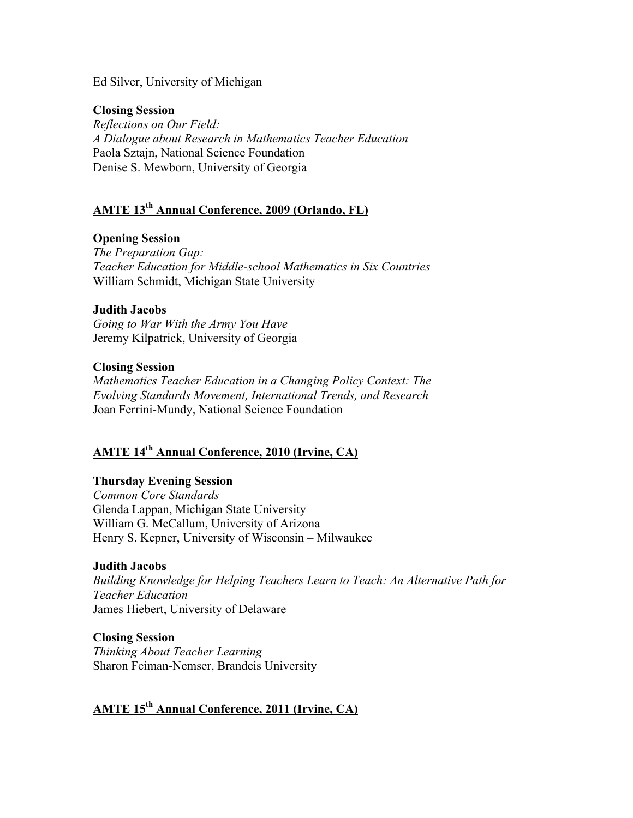#### Ed Silver, University of Michigan

# **Closing Session**

*Reflections on Our Field: A Dialogue about Research in Mathematics Teacher Education* Paola Sztajn, National Science Foundation Denise S. Mewborn, University of Georgia

# **AMTE 13th Annual Conference, 2009 (Orlando, FL)**

# **Opening Session**

*The Preparation Gap: Teacher Education for Middle-school Mathematics in Six Countries* William Schmidt, Michigan State University

#### **Judith Jacobs**

*Going to War With the Army You Have* Jeremy Kilpatrick, University of Georgia

#### **Closing Session**

*Mathematics Teacher Education in a Changing Policy Context: The Evolving Standards Movement, International Trends, and Research* Joan Ferrini-Mundy, National Science Foundation

# **AMTE 14th Annual Conference, 2010 (Irvine, CA)**

#### **Thursday Evening Session**

*Common Core Standards* Glenda Lappan, Michigan State University William G. McCallum, University of Arizona Henry S. Kepner, University of Wisconsin – Milwaukee

#### **Judith Jacobs**

*Building Knowledge for Helping Teachers Learn to Teach: An Alternative Path for Teacher Education* James Hiebert, University of Delaware

#### **Closing Session**

*Thinking About Teacher Learning* Sharon Feiman-Nemser, Brandeis University

# **AMTE 15th Annual Conference, 2011 (Irvine, CA)**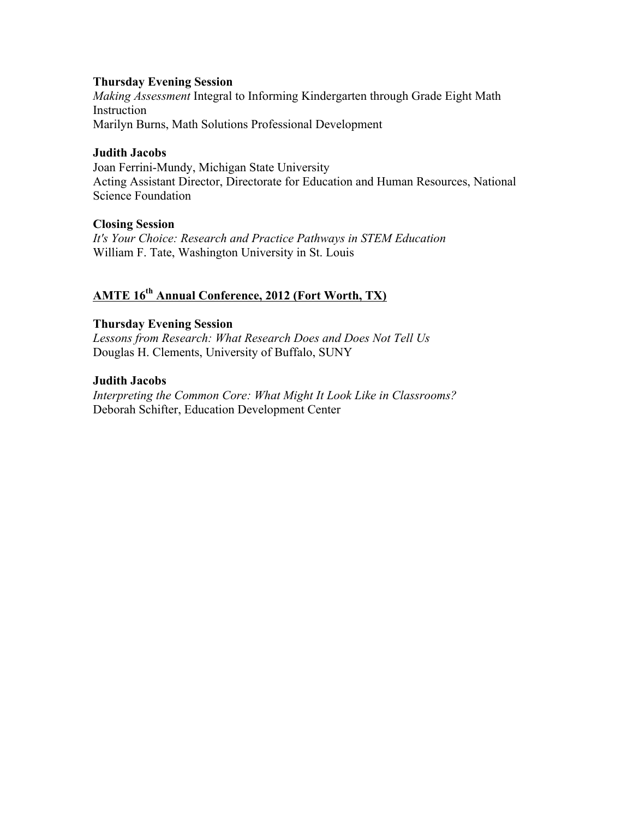# **Thursday Evening Session**

*Making Assessment* Integral to Informing Kindergarten through Grade Eight Math Instruction Marilyn Burns, Math Solutions Professional Development

# **Judith Jacobs**

Joan Ferrini-Mundy, Michigan State University Acting Assistant Director, Directorate for Education and Human Resources, National Science Foundation

# **Closing Session**

*It's Your Choice: Research and Practice Pathways in STEM Education* William F. Tate, Washington University in St. Louis

# **AMTE 16th Annual Conference, 2012 (Fort Worth, TX)**

# **Thursday Evening Session**

*Lessons from Research: What Research Does and Does Not Tell Us* Douglas H. Clements, University of Buffalo, SUNY

# **Judith Jacobs**

*Interpreting the Common Core: What Might It Look Like in Classrooms?* Deborah Schifter, Education Development Center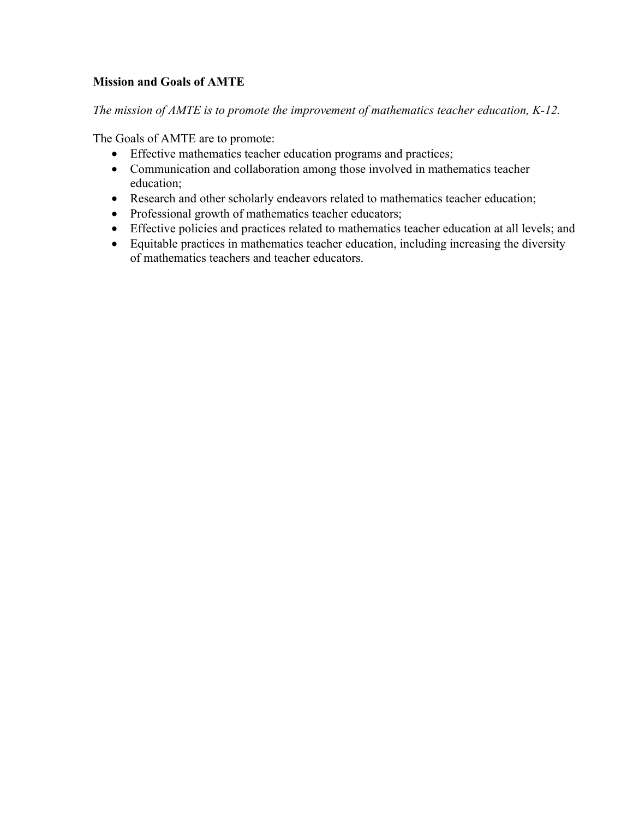# **Mission and Goals of AMTE**

*The mission of AMTE is to promote the improvement of mathematics teacher education, K-12.*

The Goals of AMTE are to promote:

- Effective mathematics teacher education programs and practices;
- Communication and collaboration among those involved in mathematics teacher education;
- Research and other scholarly endeavors related to mathematics teacher education;
- Professional growth of mathematics teacher educators;
- Effective policies and practices related to mathematics teacher education at all levels; and
- Equitable practices in mathematics teacher education, including increasing the diversity of mathematics teachers and teacher educators.